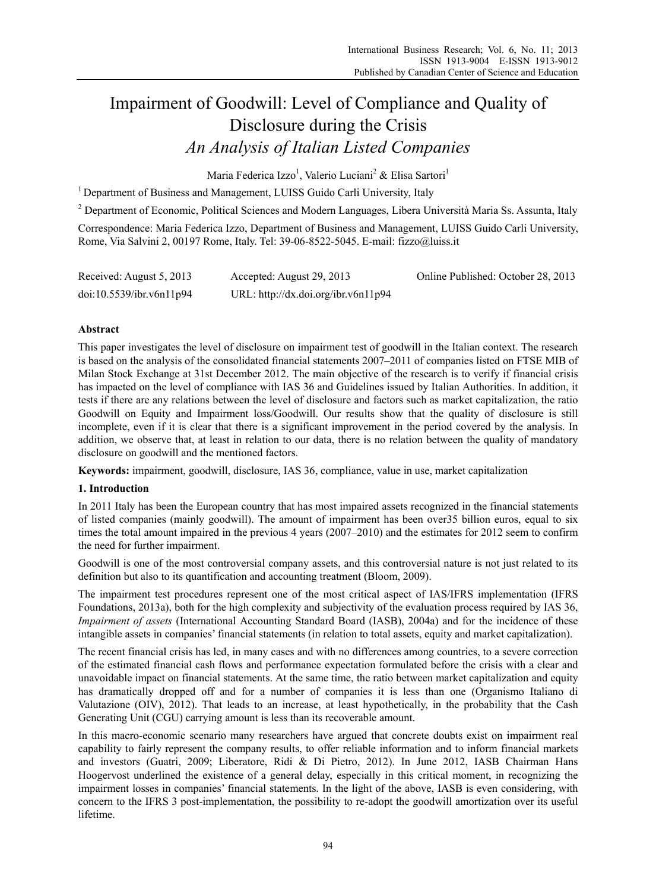# Impairment of Goodwill: Level of Compliance and Quality of Disclosure during the Crisis *An Analysis of Italian Listed Companies*

Maria Federica Izzo<sup>1</sup>, Valerio Luciani<sup>2</sup> & Elisa Sartori<sup>1</sup>

<sup>1</sup> Department of Business and Management, LUISS Guido Carli University, Italy

<sup>2</sup> Department of Economic, Political Sciences and Modern Languages, Libera Università Maria Ss. Assunta, Italy

Correspondence: Maria Federica Izzo, Department of Business and Management, LUISS Guido Carli University, Rome, Via Salvini 2, 00197 Rome, Italy. Tel: 39-06-8522-5045. E-mail: fizzo@luiss.it

| Received: August 5, 2013 | Accepted: August 29, 2013           | Online Published: October 28, 2013 |
|--------------------------|-------------------------------------|------------------------------------|
| doi:10.5539/ibr.v6n11p94 | URL: http://dx.doi.org/ibr.v6n11p94 |                                    |

## **Abstract**

This paper investigates the level of disclosure on impairment test of goodwill in the Italian context. The research is based on the analysis of the consolidated financial statements 2007–2011 of companies listed on FTSE MIB of Milan Stock Exchange at 31st December 2012. The main objective of the research is to verify if financial crisis has impacted on the level of compliance with IAS 36 and Guidelines issued by Italian Authorities. In addition, it tests if there are any relations between the level of disclosure and factors such as market capitalization, the ratio Goodwill on Equity and Impairment loss/Goodwill. Our results show that the quality of disclosure is still incomplete, even if it is clear that there is a significant improvement in the period covered by the analysis. In addition, we observe that, at least in relation to our data, there is no relation between the quality of mandatory disclosure on goodwill and the mentioned factors.

**Keywords:** impairment, goodwill, disclosure, IAS 36, compliance, value in use, market capitalization

## **1. Introduction**

In 2011 Italy has been the European country that has most impaired assets recognized in the financial statements of listed companies (mainly goodwill). The amount of impairment has been over35 billion euros, equal to six times the total amount impaired in the previous 4 years (2007–2010) and the estimates for 2012 seem to confirm the need for further impairment.

Goodwill is one of the most controversial company assets, and this controversial nature is not just related to its definition but also to its quantification and accounting treatment (Bloom, 2009).

The impairment test procedures represent one of the most critical aspect of IAS/IFRS implementation (IFRS Foundations, 2013a), both for the high complexity and subjectivity of the evaluation process required by IAS 36, *Impairment of assets* (International Accounting Standard Board (IASB), 2004a) and for the incidence of these intangible assets in companies' financial statements (in relation to total assets, equity and market capitalization).

The recent financial crisis has led, in many cases and with no differences among countries, to a severe correction of the estimated financial cash flows and performance expectation formulated before the crisis with a clear and unavoidable impact on financial statements. At the same time, the ratio between market capitalization and equity has dramatically dropped off and for a number of companies it is less than one (Organismo Italiano di Valutazione (OIV), 2012). That leads to an increase, at least hypothetically, in the probability that the Cash Generating Unit (CGU) carrying amount is less than its recoverable amount.

In this macro-economic scenario many researchers have argued that concrete doubts exist on impairment real capability to fairly represent the company results, to offer reliable information and to inform financial markets and investors (Guatri, 2009; Liberatore, Ridi & Di Pietro, 2012). In June 2012, IASB Chairman Hans Hoogervost underlined the existence of a general delay, especially in this critical moment, in recognizing the impairment losses in companies' financial statements. In the light of the above, IASB is even considering, with concern to the IFRS 3 post-implementation, the possibility to re-adopt the goodwill amortization over its useful lifetime.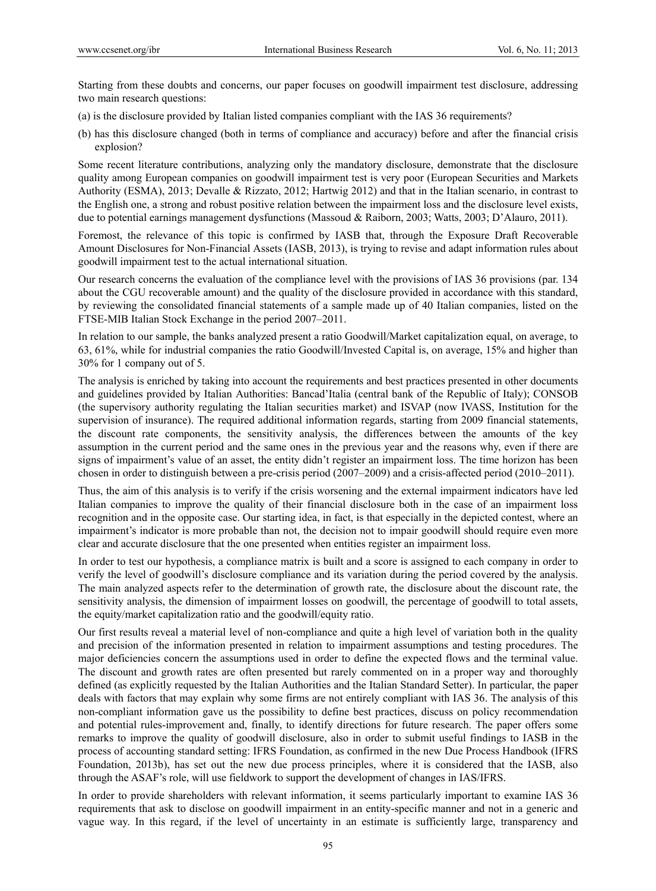Starting from these doubts and concerns, our paper focuses on goodwill impairment test disclosure, addressing two main research questions:

- (a) is the disclosure provided by Italian listed companies compliant with the IAS 36 requirements?
- (b) has this disclosure changed (both in terms of compliance and accuracy) before and after the financial crisis explosion?

Some recent literature contributions, analyzing only the mandatory disclosure, demonstrate that the disclosure quality among European companies on goodwill impairment test is very poor (European Securities and Markets Authority (ESMA), 2013; Devalle & Rizzato, 2012; Hartwig 2012) and that in the Italian scenario, in contrast to the English one, a strong and robust positive relation between the impairment loss and the disclosure level exists, due to potential earnings management dysfunctions (Massoud & Raiborn, 2003; Watts, 2003; D'Alauro, 2011).

Foremost, the relevance of this topic is confirmed by IASB that, through the Exposure Draft Recoverable Amount Disclosures for Non-Financial Assets (IASB, 2013), is trying to revise and adapt information rules about goodwill impairment test to the actual international situation.

Our research concerns the evaluation of the compliance level with the provisions of IAS 36 provisions (par. 134 about the CGU recoverable amount) and the quality of the disclosure provided in accordance with this standard, by reviewing the consolidated financial statements of a sample made up of 40 Italian companies, listed on the FTSE-MIB Italian Stock Exchange in the period 2007–2011.

In relation to our sample, the banks analyzed present a ratio Goodwill/Market capitalization equal, on average, to 63, 61%, while for industrial companies the ratio Goodwill/Invested Capital is, on average, 15% and higher than 30% for 1 company out of 5.

The analysis is enriched by taking into account the requirements and best practices presented in other documents and guidelines provided by Italian Authorities: Bancad'Italia (central bank of the Republic of Italy); CONSOB (the supervisory authority regulating the Italian securities market) and ISVAP (now IVASS, Institution for the supervision of insurance). The required additional information regards, starting from 2009 financial statements, the discount rate components, the sensitivity analysis, the differences between the amounts of the key assumption in the current period and the same ones in the previous year and the reasons why, even if there are signs of impairment's value of an asset, the entity didn't register an impairment loss. The time horizon has been chosen in order to distinguish between a pre-crisis period (2007–2009) and a crisis-affected period (2010–2011).

Thus, the aim of this analysis is to verify if the crisis worsening and the external impairment indicators have led Italian companies to improve the quality of their financial disclosure both in the case of an impairment loss recognition and in the opposite case. Our starting idea, in fact, is that especially in the depicted contest, where an impairment's indicator is more probable than not, the decision not to impair goodwill should require even more clear and accurate disclosure that the one presented when entities register an impairment loss.

In order to test our hypothesis, a compliance matrix is built and a score is assigned to each company in order to verify the level of goodwill's disclosure compliance and its variation during the period covered by the analysis. The main analyzed aspects refer to the determination of growth rate, the disclosure about the discount rate, the sensitivity analysis, the dimension of impairment losses on goodwill, the percentage of goodwill to total assets, the equity/market capitalization ratio and the goodwill/equity ratio.

Our first results reveal a material level of non-compliance and quite a high level of variation both in the quality and precision of the information presented in relation to impairment assumptions and testing procedures. The major deficiencies concern the assumptions used in order to define the expected flows and the terminal value. The discount and growth rates are often presented but rarely commented on in a proper way and thoroughly defined (as explicitly requested by the Italian Authorities and the Italian Standard Setter). In particular, the paper deals with factors that may explain why some firms are not entirely compliant with IAS 36. The analysis of this non-compliant information gave us the possibility to define best practices, discuss on policy recommendation and potential rules-improvement and, finally, to identify directions for future research. The paper offers some remarks to improve the quality of goodwill disclosure, also in order to submit useful findings to IASB in the process of accounting standard setting: IFRS Foundation, as confirmed in the new Due Process Handbook (IFRS Foundation, 2013b), has set out the new due process principles, where it is considered that the IASB, also through the ASAF's role, will use fieldwork to support the development of changes in IAS/IFRS.

In order to provide shareholders with relevant information, it seems particularly important to examine IAS 36 requirements that ask to disclose on goodwill impairment in an entity-specific manner and not in a generic and vague way. In this regard, if the level of uncertainty in an estimate is sufficiently large, transparency and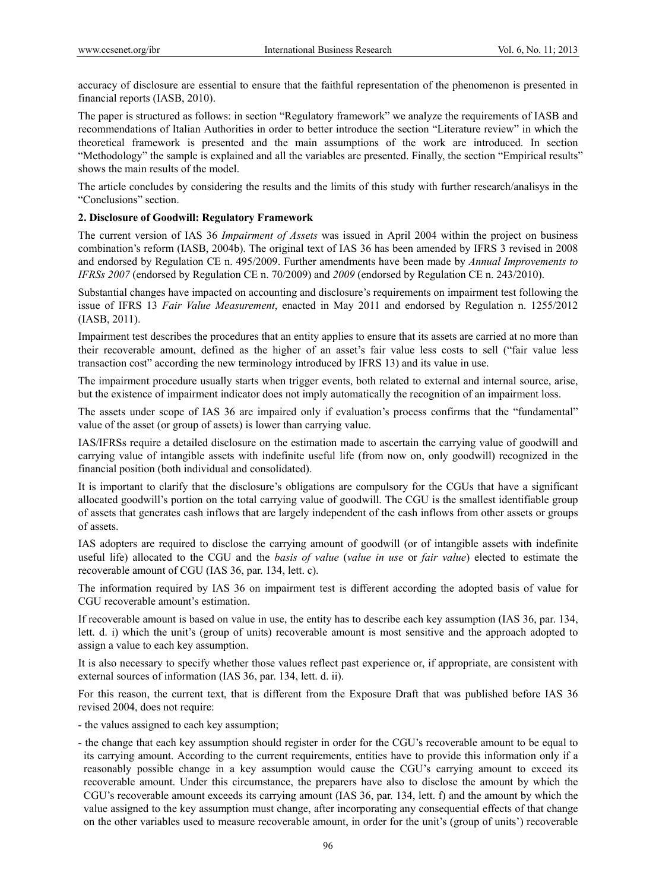accuracy of disclosure are essential to ensure that the faithful representation of the phenomenon is presented in financial reports (IASB, 2010).

The paper is structured as follows: in section "Regulatory framework" we analyze the requirements of IASB and recommendations of Italian Authorities in order to better introduce the section "Literature review" in which the theoretical framework is presented and the main assumptions of the work are introduced. In section "Methodology" the sample is explained and all the variables are presented. Finally, the section "Empirical results" shows the main results of the model.

The article concludes by considering the results and the limits of this study with further research/analisys in the "Conclusions" section.

## **2. Disclosure of Goodwill: Regulatory Framework**

The current version of IAS 36 *Impairment of Assets* was issued in April 2004 within the project on business combination's reform (IASB, 2004b). The original text of IAS 36 has been amended by IFRS 3 revised in 2008 and endorsed by Regulation CE n. 495/2009. Further amendments have been made by *Annual Improvements to IFRSs 2007* (endorsed by Regulation CE n. 70/2009) and *2009* (endorsed by Regulation CE n. 243/2010).

Substantial changes have impacted on accounting and disclosure's requirements on impairment test following the issue of IFRS 13 *Fair Value Measurement*, enacted in May 2011 and endorsed by Regulation n. 1255/2012 (IASB, 2011).

Impairment test describes the procedures that an entity applies to ensure that its assets are carried at no more than their recoverable amount, defined as the higher of an asset's fair value less costs to sell ("fair value less transaction cost" according the new terminology introduced by IFRS 13) and its value in use.

The impairment procedure usually starts when trigger events, both related to external and internal source, arise, but the existence of impairment indicator does not imply automatically the recognition of an impairment loss.

The assets under scope of IAS 36 are impaired only if evaluation's process confirms that the "fundamental" value of the asset (or group of assets) is lower than carrying value.

IAS/IFRSs require a detailed disclosure on the estimation made to ascertain the carrying value of goodwill and carrying value of intangible assets with indefinite useful life (from now on, only goodwill) recognized in the financial position (both individual and consolidated).

It is important to clarify that the disclosure's obligations are compulsory for the CGUs that have a significant allocated goodwill's portion on the total carrying value of goodwill. The CGU is the smallest identifiable group of assets that generates cash inflows that are largely independent of the cash inflows from other assets or groups of assets.

IAS adopters are required to disclose the carrying amount of goodwill (or of intangible assets with indefinite useful life) allocated to the CGU and the *basis of value (value in use* or *fair value*) elected to estimate the recoverable amount of CGU (IAS 36, par. 134, lett. c).

The information required by IAS 36 on impairment test is different according the adopted basis of value for CGU recoverable amount's estimation.

If recoverable amount is based on value in use, the entity has to describe each key assumption (IAS 36, par. 134, lett. d. i) which the unit's (group of units) recoverable amount is most sensitive and the approach adopted to assign a value to each key assumption.

It is also necessary to specify whether those values reflect past experience or, if appropriate, are consistent with external sources of information (IAS 36, par. 134, lett. d. ii).

For this reason, the current text, that is different from the Exposure Draft that was published before IAS 36 revised 2004, does not require:

- the values assigned to each key assumption;
- the change that each key assumption should register in order for the CGU's recoverable amount to be equal to its carrying amount. According to the current requirements, entities have to provide this information only if a reasonably possible change in a key assumption would cause the CGU's carrying amount to exceed its recoverable amount. Under this circumstance, the preparers have also to disclose the amount by which the CGU's recoverable amount exceeds its carrying amount (IAS 36, par. 134, lett. f) and the amount by which the value assigned to the key assumption must change, after incorporating any consequential effects of that change on the other variables used to measure recoverable amount, in order for the unit's (group of units') recoverable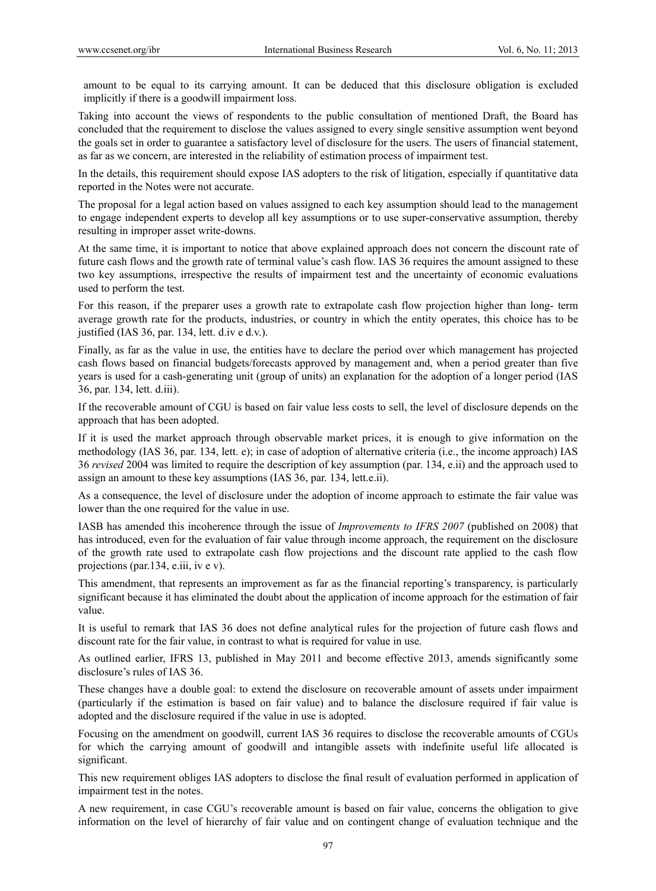amount to be equal to its carrying amount. It can be deduced that this disclosure obligation is excluded implicitly if there is a goodwill impairment loss.

Taking into account the views of respondents to the public consultation of mentioned Draft, the Board has concluded that the requirement to disclose the values assigned to every single sensitive assumption went beyond the goals set in order to guarantee a satisfactory level of disclosure for the users. The users of financial statement, as far as we concern, are interested in the reliability of estimation process of impairment test.

In the details, this requirement should expose IAS adopters to the risk of litigation, especially if quantitative data reported in the Notes were not accurate.

The proposal for a legal action based on values assigned to each key assumption should lead to the management to engage independent experts to develop all key assumptions or to use super-conservative assumption, thereby resulting in improper asset write-downs.

At the same time, it is important to notice that above explained approach does not concern the discount rate of future cash flows and the growth rate of terminal value's cash flow. IAS 36 requires the amount assigned to these two key assumptions, irrespective the results of impairment test and the uncertainty of economic evaluations used to perform the test.

For this reason, if the preparer uses a growth rate to extrapolate cash flow projection higher than long- term average growth rate for the products, industries, or country in which the entity operates, this choice has to be justified (IAS 36, par. 134, lett. d.iv e d.v.).

Finally, as far as the value in use, the entities have to declare the period over which management has projected cash flows based on financial budgets/forecasts approved by management and, when a period greater than five years is used for a cash-generating unit (group of units) an explanation for the adoption of a longer period (IAS 36, par. 134, lett. d.iii).

If the recoverable amount of CGU is based on fair value less costs to sell, the level of disclosure depends on the approach that has been adopted.

If it is used the market approach through observable market prices, it is enough to give information on the methodology (IAS 36, par. 134, lett. e); in case of adoption of alternative criteria (i.e., the income approach) IAS 36 *revised* 2004 was limited to require the description of key assumption (par. 134, e.ii) and the approach used to assign an amount to these key assumptions (IAS 36, par. 134, lett.e.ii).

As a consequence, the level of disclosure under the adoption of income approach to estimate the fair value was lower than the one required for the value in use.

IASB has amended this incoherence through the issue of *Improvements to IFRS 2007* (published on 2008) that has introduced, even for the evaluation of fair value through income approach, the requirement on the disclosure of the growth rate used to extrapolate cash flow projections and the discount rate applied to the cash flow projections (par.134, e.iii, iv e v).

This amendment, that represents an improvement as far as the financial reporting's transparency, is particularly significant because it has eliminated the doubt about the application of income approach for the estimation of fair value.

It is useful to remark that IAS 36 does not define analytical rules for the projection of future cash flows and discount rate for the fair value, in contrast to what is required for value in use.

As outlined earlier, IFRS 13, published in May 2011 and become effective 2013, amends significantly some disclosure's rules of IAS 36.

These changes have a double goal: to extend the disclosure on recoverable amount of assets under impairment (particularly if the estimation is based on fair value) and to balance the disclosure required if fair value is adopted and the disclosure required if the value in use is adopted.

Focusing on the amendment on goodwill, current IAS 36 requires to disclose the recoverable amounts of CGUs for which the carrying amount of goodwill and intangible assets with indefinite useful life allocated is significant.

This new requirement obliges IAS adopters to disclose the final result of evaluation performed in application of impairment test in the notes.

A new requirement, in case CGU's recoverable amount is based on fair value, concerns the obligation to give information on the level of hierarchy of fair value and on contingent change of evaluation technique and the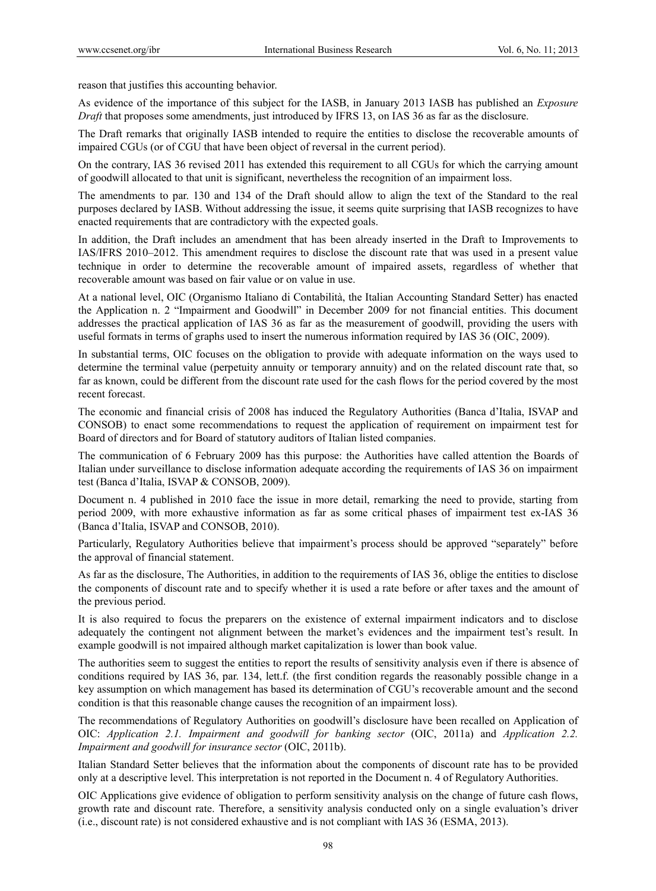reason that justifies this accounting behavior.

As evidence of the importance of this subject for the IASB, in January 2013 IASB has published an *Exposure Draft* that proposes some amendments, just introduced by IFRS 13, on IAS 36 as far as the disclosure.

The Draft remarks that originally IASB intended to require the entities to disclose the recoverable amounts of impaired CGUs (or of CGU that have been object of reversal in the current period).

On the contrary, IAS 36 revised 2011 has extended this requirement to all CGUs for which the carrying amount of goodwill allocated to that unit is significant, nevertheless the recognition of an impairment loss.

The amendments to par. 130 and 134 of the Draft should allow to align the text of the Standard to the real purposes declared by IASB. Without addressing the issue, it seems quite surprising that IASB recognizes to have enacted requirements that are contradictory with the expected goals.

In addition, the Draft includes an amendment that has been already inserted in the Draft to Improvements to IAS/IFRS 2010–2012. This amendment requires to disclose the discount rate that was used in a present value technique in order to determine the recoverable amount of impaired assets, regardless of whether that recoverable amount was based on fair value or on value in use.

At a national level, OIC (Organismo Italiano di Contabilità, the Italian Accounting Standard Setter) has enacted the Application n. 2 "Impairment and Goodwill" in December 2009 for not financial entities. This document addresses the practical application of IAS 36 as far as the measurement of goodwill, providing the users with useful formats in terms of graphs used to insert the numerous information required by IAS 36 (OIC, 2009).

In substantial terms, OIC focuses on the obligation to provide with adequate information on the ways used to determine the terminal value (perpetuity annuity or temporary annuity) and on the related discount rate that, so far as known, could be different from the discount rate used for the cash flows for the period covered by the most recent forecast.

The economic and financial crisis of 2008 has induced the Regulatory Authorities (Banca d'Italia, ISVAP and CONSOB) to enact some recommendations to request the application of requirement on impairment test for Board of directors and for Board of statutory auditors of Italian listed companies.

The communication of 6 February 2009 has this purpose: the Authorities have called attention the Boards of Italian under surveillance to disclose information adequate according the requirements of IAS 36 on impairment test (Banca d'Italia, ISVAP & CONSOB, 2009).

Document n. 4 published in 2010 face the issue in more detail, remarking the need to provide, starting from period 2009, with more exhaustive information as far as some critical phases of impairment test ex-IAS 36 (Banca d'Italia, ISVAP and CONSOB, 2010).

Particularly, Regulatory Authorities believe that impairment's process should be approved "separately" before the approval of financial statement.

As far as the disclosure, The Authorities, in addition to the requirements of IAS 36, oblige the entities to disclose the components of discount rate and to specify whether it is used a rate before or after taxes and the amount of the previous period.

It is also required to focus the preparers on the existence of external impairment indicators and to disclose adequately the contingent not alignment between the market's evidences and the impairment test's result. In example goodwill is not impaired although market capitalization is lower than book value.

The authorities seem to suggest the entities to report the results of sensitivity analysis even if there is absence of conditions required by IAS 36, par. 134, lett.f. (the first condition regards the reasonably possible change in a key assumption on which management has based its determination of CGU's recoverable amount and the second condition is that this reasonable change causes the recognition of an impairment loss).

The recommendations of Regulatory Authorities on goodwill's disclosure have been recalled on Application of OIC: *Application 2.1. Impairment and goodwill for banking sector* (OIC, 2011a) and *Application 2.2. Impairment and goodwill for insurance sector* (OIC, 2011b).

Italian Standard Setter believes that the information about the components of discount rate has to be provided only at a descriptive level. This interpretation is not reported in the Document n. 4 of Regulatory Authorities.

OIC Applications give evidence of obligation to perform sensitivity analysis on the change of future cash flows, growth rate and discount rate. Therefore, a sensitivity analysis conducted only on a single evaluation's driver (i.e., discount rate) is not considered exhaustive and is not compliant with IAS 36 (ESMA, 2013).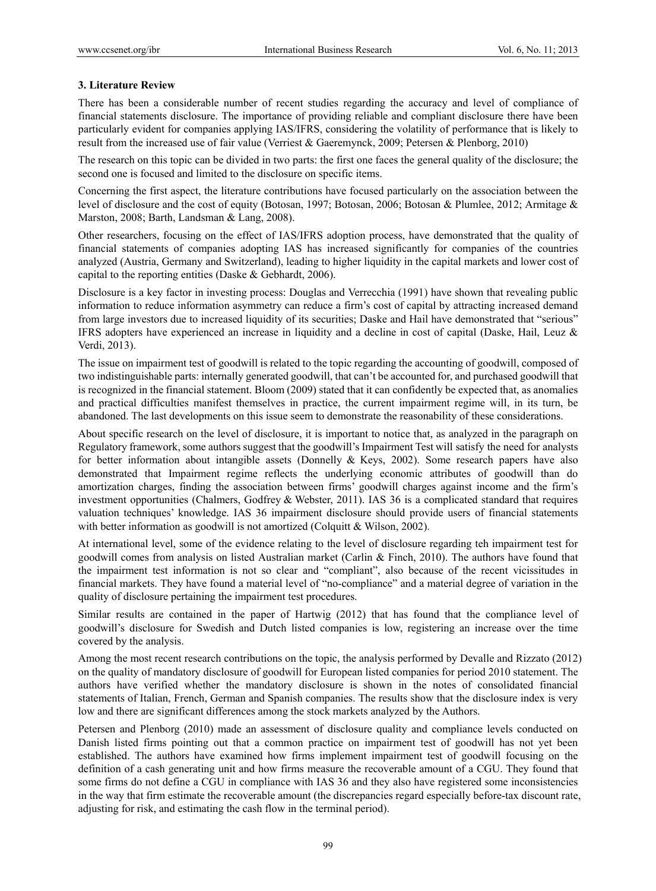## **3. Literature Review**

There has been a considerable number of recent studies regarding the accuracy and level of compliance of financial statements disclosure. The importance of providing reliable and compliant disclosure there have been particularly evident for companies applying IAS/IFRS, considering the volatility of performance that is likely to result from the increased use of fair value (Verriest & Gaeremynck, 2009; Petersen & Plenborg, 2010)

The research on this topic can be divided in two parts: the first one faces the general quality of the disclosure; the second one is focused and limited to the disclosure on specific items.

Concerning the first aspect, the literature contributions have focused particularly on the association between the level of disclosure and the cost of equity (Botosan, 1997; Botosan, 2006; Botosan & Plumlee, 2012; Armitage & Marston, 2008; Barth, Landsman & Lang, 2008).

Other researchers, focusing on the effect of IAS/IFRS adoption process, have demonstrated that the quality of financial statements of companies adopting IAS has increased significantly for companies of the countries analyzed (Austria, Germany and Switzerland), leading to higher liquidity in the capital markets and lower cost of capital to the reporting entities (Daske & Gebhardt, 2006).

Disclosure is a key factor in investing process: Douglas and Verrecchia (1991) have shown that revealing public information to reduce information asymmetry can reduce a firm's cost of capital by attracting increased demand from large investors due to increased liquidity of its securities; Daske and Hail have demonstrated that "serious" IFRS adopters have experienced an increase in liquidity and a decline in cost of capital (Daske, Hail, Leuz & Verdi, 2013).

The issue on impairment test of goodwill is related to the topic regarding the accounting of goodwill, composed of two indistinguishable parts: internally generated goodwill, that can't be accounted for, and purchased goodwill that is recognized in the financial statement. Bloom (2009) stated that it can confidently be expected that, as anomalies and practical difficulties manifest themselves in practice, the current impairment regime will, in its turn, be abandoned. The last developments on this issue seem to demonstrate the reasonability of these considerations.

About specific research on the level of disclosure, it is important to notice that, as analyzed in the paragraph on Regulatory framework, some authors suggest that the goodwill's Impairment Test will satisfy the need for analysts for better information about intangible assets (Donnelly & Keys, 2002). Some research papers have also demonstrated that Impairment regime reflects the underlying economic attributes of goodwill than do amortization charges, finding the association between firms' goodwill charges against income and the firm's investment opportunities (Chalmers, Godfrey & Webster, 2011). IAS 36 is a complicated standard that requires valuation techniques' knowledge. IAS 36 impairment disclosure should provide users of financial statements with better information as goodwill is not amortized (Colquitt & Wilson, 2002).

At international level, some of the evidence relating to the level of disclosure regarding teh impairment test for goodwill comes from analysis on listed Australian market (Carlin & Finch, 2010). The authors have found that the impairment test information is not so clear and "compliant", also because of the recent vicissitudes in financial markets. They have found a material level of "no-compliance" and a material degree of variation in the quality of disclosure pertaining the impairment test procedures.

Similar results are contained in the paper of Hartwig (2012) that has found that the compliance level of goodwill's disclosure for Swedish and Dutch listed companies is low, registering an increase over the time covered by the analysis.

Among the most recent research contributions on the topic, the analysis performed by Devalle and Rizzato (2012) on the quality of mandatory disclosure of goodwill for European listed companies for period 2010 statement. The authors have verified whether the mandatory disclosure is shown in the notes of consolidated financial statements of Italian, French, German and Spanish companies. The results show that the disclosure index is very low and there are significant differences among the stock markets analyzed by the Authors.

Petersen and Plenborg (2010) made an assessment of disclosure quality and compliance levels conducted on Danish listed firms pointing out that a common practice on impairment test of goodwill has not yet been established. The authors have examined how firms implement impairment test of goodwill focusing on the definition of a cash generating unit and how firms measure the recoverable amount of a CGU. They found that some firms do not define a CGU in compliance with IAS 36 and they also have registered some inconsistencies in the way that firm estimate the recoverable amount (the discrepancies regard especially before-tax discount rate, adjusting for risk, and estimating the cash flow in the terminal period).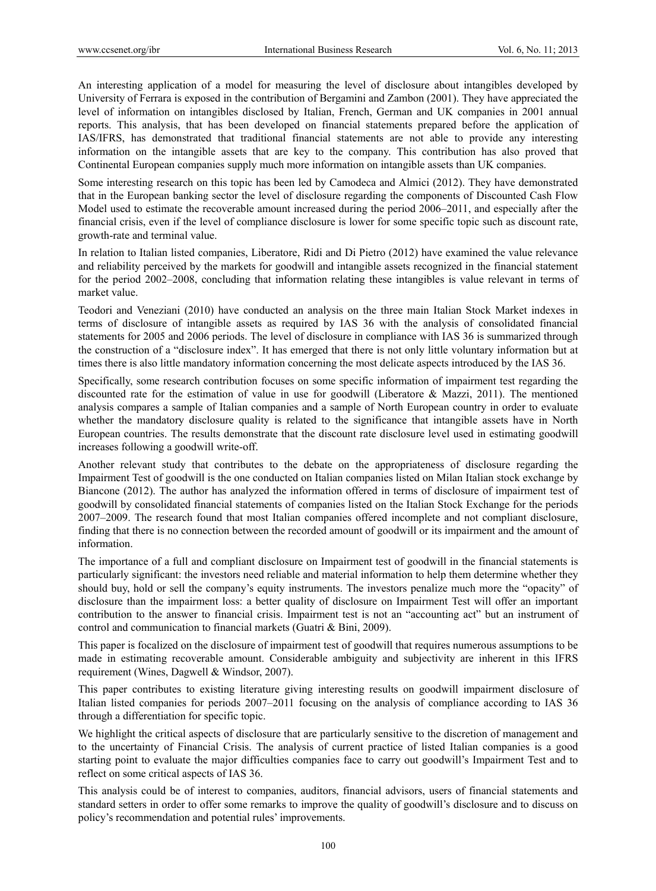An interesting application of a model for measuring the level of disclosure about intangibles developed by University of Ferrara is exposed in the contribution of Bergamini and Zambon (2001). They have appreciated the level of information on intangibles disclosed by Italian, French, German and UK companies in 2001 annual reports. This analysis, that has been developed on financial statements prepared before the application of IAS/IFRS, has demonstrated that traditional financial statements are not able to provide any interesting information on the intangible assets that are key to the company. This contribution has also proved that Continental European companies supply much more information on intangible assets than UK companies.

Some interesting research on this topic has been led by Camodeca and Almici (2012). They have demonstrated that in the European banking sector the level of disclosure regarding the components of Discounted Cash Flow Model used to estimate the recoverable amount increased during the period 2006–2011, and especially after the financial crisis, even if the level of compliance disclosure is lower for some specific topic such as discount rate, growth-rate and terminal value.

In relation to Italian listed companies, Liberatore, Ridi and Di Pietro (2012) have examined the value relevance and reliability perceived by the markets for goodwill and intangible assets recognized in the financial statement for the period 2002–2008, concluding that information relating these intangibles is value relevant in terms of market value.

Teodori and Veneziani (2010) have conducted an analysis on the three main Italian Stock Market indexes in terms of disclosure of intangible assets as required by IAS 36 with the analysis of consolidated financial statements for 2005 and 2006 periods. The level of disclosure in compliance with IAS 36 is summarized through the construction of a "disclosure index". It has emerged that there is not only little voluntary information but at times there is also little mandatory information concerning the most delicate aspects introduced by the IAS 36.

Specifically, some research contribution focuses on some specific information of impairment test regarding the discounted rate for the estimation of value in use for goodwill (Liberatore & Mazzi, 2011). The mentioned analysis compares a sample of Italian companies and a sample of North European country in order to evaluate whether the mandatory disclosure quality is related to the significance that intangible assets have in North European countries. The results demonstrate that the discount rate disclosure level used in estimating goodwill increases following a goodwill write-off.

Another relevant study that contributes to the debate on the appropriateness of disclosure regarding the Impairment Test of goodwill is the one conducted on Italian companies listed on Milan Italian stock exchange by Biancone (2012). The author has analyzed the information offered in terms of disclosure of impairment test of goodwill by consolidated financial statements of companies listed on the Italian Stock Exchange for the periods 2007–2009. The research found that most Italian companies offered incomplete and not compliant disclosure, finding that there is no connection between the recorded amount of goodwill or its impairment and the amount of information.

The importance of a full and compliant disclosure on Impairment test of goodwill in the financial statements is particularly significant: the investors need reliable and material information to help them determine whether they should buy, hold or sell the company's equity instruments. The investors penalize much more the "opacity" of disclosure than the impairment loss: a better quality of disclosure on Impairment Test will offer an important contribution to the answer to financial crisis. Impairment test is not an "accounting act" but an instrument of control and communication to financial markets (Guatri & Bini, 2009).

This paper is focalized on the disclosure of impairment test of goodwill that requires numerous assumptions to be made in estimating recoverable amount. Considerable ambiguity and subjectivity are inherent in this IFRS requirement (Wines, Dagwell & Windsor, 2007).

This paper contributes to existing literature giving interesting results on goodwill impairment disclosure of Italian listed companies for periods 2007–2011 focusing on the analysis of compliance according to IAS 36 through a differentiation for specific topic.

We highlight the critical aspects of disclosure that are particularly sensitive to the discretion of management and to the uncertainty of Financial Crisis. The analysis of current practice of listed Italian companies is a good starting point to evaluate the major difficulties companies face to carry out goodwill's Impairment Test and to reflect on some critical aspects of IAS 36.

This analysis could be of interest to companies, auditors, financial advisors, users of financial statements and standard setters in order to offer some remarks to improve the quality of goodwill's disclosure and to discuss on policy's recommendation and potential rules' improvements.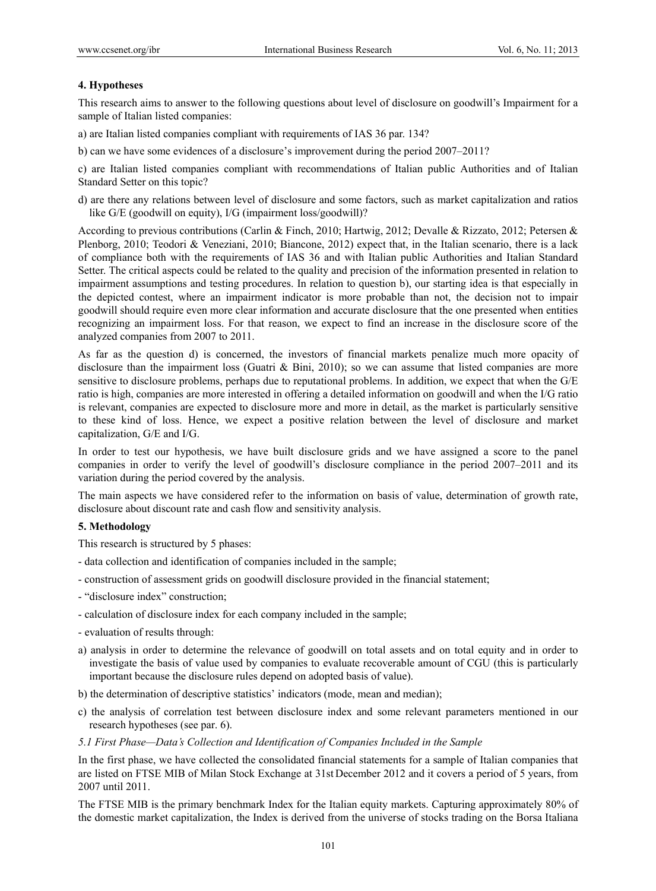## **4. Hypotheses**

This research aims to answer to the following questions about level of disclosure on goodwill's Impairment for a sample of Italian listed companies:

a) are Italian listed companies compliant with requirements of IAS 36 par. 134?

b) can we have some evidences of a disclosure's improvement during the period 2007–2011?

c) are Italian listed companies compliant with recommendations of Italian public Authorities and of Italian Standard Setter on this topic?

d) are there any relations between level of disclosure and some factors, such as market capitalization and ratios like G/E (goodwill on equity), I/G (impairment loss/goodwill)?

According to previous contributions (Carlin & Finch, 2010; Hartwig, 2012; Devalle & Rizzato, 2012; Petersen & Plenborg, 2010; Teodori & Veneziani, 2010; Biancone, 2012) expect that, in the Italian scenario, there is a lack of compliance both with the requirements of IAS 36 and with Italian public Authorities and Italian Standard Setter. The critical aspects could be related to the quality and precision of the information presented in relation to impairment assumptions and testing procedures. In relation to question b), our starting idea is that especially in the depicted contest, where an impairment indicator is more probable than not, the decision not to impair goodwill should require even more clear information and accurate disclosure that the one presented when entities recognizing an impairment loss. For that reason, we expect to find an increase in the disclosure score of the analyzed companies from 2007 to 2011.

As far as the question d) is concerned, the investors of financial markets penalize much more opacity of disclosure than the impairment loss (Guatri & Bini, 2010); so we can assume that listed companies are more sensitive to disclosure problems, perhaps due to reputational problems. In addition, we expect that when the G/E ratio is high, companies are more interested in offering a detailed information on goodwill and when the I/G ratio is relevant, companies are expected to disclosure more and more in detail, as the market is particularly sensitive to these kind of loss. Hence, we expect a positive relation between the level of disclosure and market capitalization, G/E and I/G.

In order to test our hypothesis, we have built disclosure grids and we have assigned a score to the panel companies in order to verify the level of goodwill's disclosure compliance in the period 2007–2011 and its variation during the period covered by the analysis.

The main aspects we have considered refer to the information on basis of value, determination of growth rate, disclosure about discount rate and cash flow and sensitivity analysis.

## **5. Methodology**

This research is structured by 5 phases:

- data collection and identification of companies included in the sample;
- construction of assessment grids on goodwill disclosure provided in the financial statement;
- "disclosure index" construction;
- calculation of disclosure index for each company included in the sample;
- evaluation of results through:
- a) analysis in order to determine the relevance of goodwill on total assets and on total equity and in order to investigate the basis of value used by companies to evaluate recoverable amount of CGU (this is particularly important because the disclosure rules depend on adopted basis of value).
- b) the determination of descriptive statistics' indicators (mode, mean and median);
- c) the analysis of correlation test between disclosure index and some relevant parameters mentioned in our research hypotheses (see par. 6).
- *5.1 First Phase—Data's Collection and Identification of Companies Included in the Sample*

In the first phase, we have collected the consolidated financial statements for a sample of Italian companies that are listed on FTSE MIB of Milan Stock Exchange at 31st December 2012 and it covers a period of 5 years, from 2007 until 2011.

The FTSE MIB is the primary benchmark Index for the Italian equity markets. Capturing approximately 80% of the domestic market capitalization, the Index is derived from the universe of stocks trading on the Borsa Italiana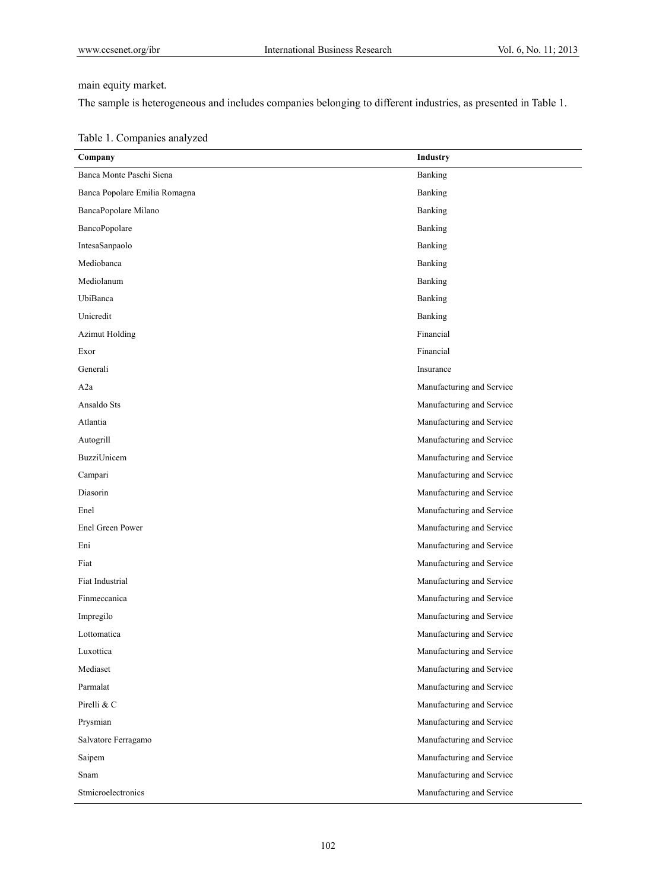main equity market.

The sample is heterogeneous and includes companies belonging to different industries, as presented in Table 1.

|  | Table 1. Companies analyzed |
|--|-----------------------------|
|  |                             |

| Company                       | Industry                  |
|-------------------------------|---------------------------|
| Banca Monte Paschi Siena      | Banking                   |
| Banca Popolare Emilia Romagna | Banking                   |
| BancaPopolare Milano          | Banking                   |
| BancoPopolare                 | Banking                   |
| IntesaSanpaolo                | Banking                   |
| Mediobanca                    | Banking                   |
| Mediolanum                    | Banking                   |
| UbiBanca                      | Banking                   |
| Unicredit                     | Banking                   |
| Azimut Holding                | Financial                 |
| Exor                          | Financial                 |
| Generali                      | Insurance                 |
| A <sub>2</sub> a              | Manufacturing and Service |
| Ansaldo Sts                   | Manufacturing and Service |
| Atlantia                      | Manufacturing and Service |
| Autogrill                     | Manufacturing and Service |
| BuzziUnicem                   | Manufacturing and Service |
| Campari                       | Manufacturing and Service |
| Diasorin                      | Manufacturing and Service |
| Enel                          | Manufacturing and Service |
| Enel Green Power              | Manufacturing and Service |
| Eni                           | Manufacturing and Service |
| Fiat                          | Manufacturing and Service |
| <b>Fiat Industrial</b>        | Manufacturing and Service |
| Finmeccanica                  | Manufacturing and Service |
| Impregilo                     | Manufacturing and Service |
| Lottomatica                   | Manufacturing and Service |
| Luxottica                     | Manufacturing and Service |
| Mediaset                      | Manufacturing and Service |
| Parmalat                      | Manufacturing and Service |
| Pirelli & C                   | Manufacturing and Service |
| Prysmian                      | Manufacturing and Service |
| Salvatore Ferragamo           | Manufacturing and Service |
| Saipem                        | Manufacturing and Service |
| Snam                          | Manufacturing and Service |
| Stmicroelectronics            | Manufacturing and Service |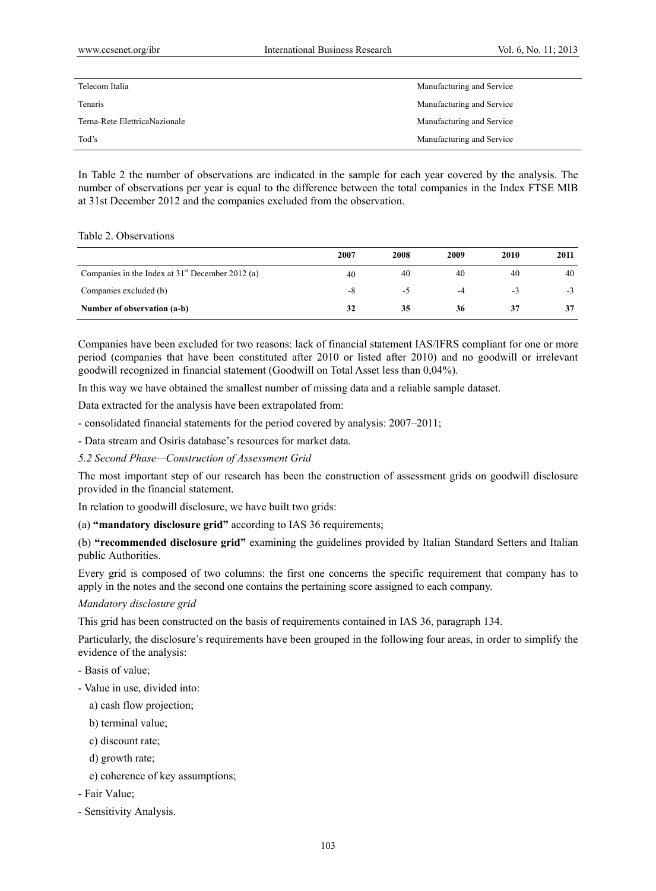| Telecom Italia                | Manufacturing and Service |
|-------------------------------|---------------------------|
| Tenaris                       | Manufacturing and Service |
| Terna-Rete ElettricaNazionale | Manufacturing and Service |
| Tod's                         | Manufacturing and Service |

In Table 2 the number of observations are indicated in the sample for each year covered by the analysis. The number of observations per year is equal to the difference between the total companies in the Index FTSE MIB at 31st December 2012 and the companies excluded from the observation.

#### Table 2. Observations

|                                                    | 2007 | 2008 | 2009 | 2010 | 2011 |
|----------------------------------------------------|------|------|------|------|------|
| Companies in the Index at $31st$ December 2012 (a) | 40   | 40   | 40   | 40   | 40   |
| Companies excluded (b)                             | -8   | -7   | -4   | - 1  | $-3$ |
| Number of observation (a-b)                        | 32   | 35   | 36   |      |      |

Companies have been excluded for two reasons: lack of financial statement IAS/IFRS compliant for one or more period (companies that have been constituted after 2010 or listed after 2010) and no goodwill or irrelevant goodwill recognized in financial statement (Goodwill on Total Asset less than 0,04%).

In this way we have obtained the smallest number of missing data and a reliable sample dataset.

Data extracted for the analysis have been extrapolated from:

- consolidated financial statements for the period covered by analysis: 2007–2011;

- Data stream and Osiris database's resources for market data.

## *5.2 Second Phase—Construction of Assessment Grid*

The most important step of our research has been the construction of assessment grids on goodwill disclosure provided in the financial statement.

In relation to goodwill disclosure, we have built two grids:

(a) **"mandatory disclosure grid"** according to IAS 36 requirements;

(b) **"recommended disclosure grid"** examining the guidelines provided by Italian Standard Setters and Italian public Authorities.

Every grid is composed of two columns: the first one concerns the specific requirement that company has to apply in the notes and the second one contains the pertaining score assigned to each company.

### *Mandatory disclosure grid*

This grid has been constructed on the basis of requirements contained in IAS 36, paragraph 134.

Particularly, the disclosure's requirements have been grouped in the following four areas, in order to simplify the evidence of the analysis:

- Basis of value;
- Value in use, divided into:
	- a) cash flow projection;
	- b) terminal value;
	- c) discount rate;
	- d) growth rate;
	- e) coherence of key assumptions;
- Fair Value;
- Sensitivity Analysis.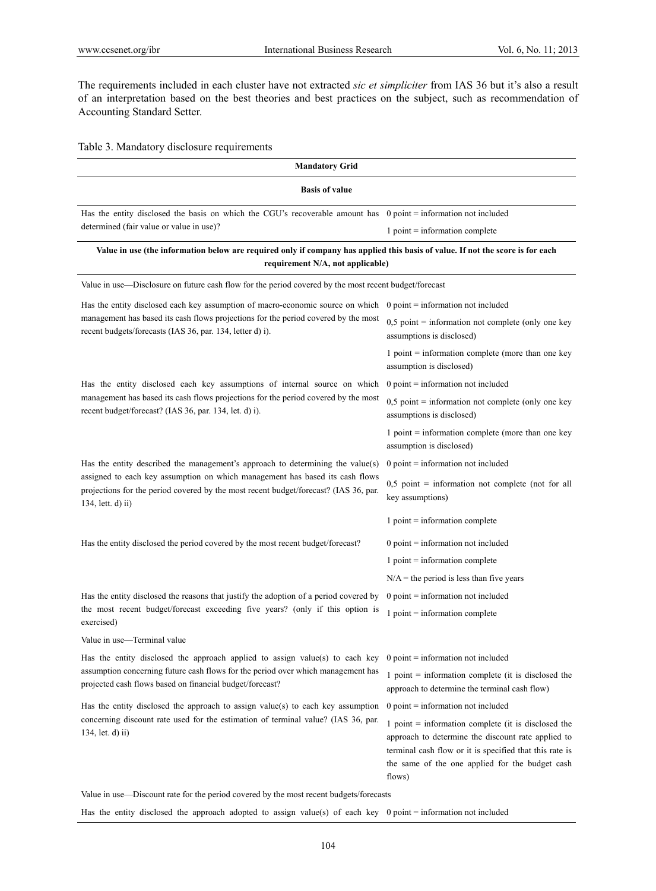The requirements included in each cluster have not extracted *sic et simpliciter* from IAS 36 but it's also a result of an interpretation based on the best theories and best practices on the subject, such as recommendation of Accounting Standard Setter.

Table 3. Mandatory disclosure requirements

| <b>Mandatory Grid</b>                                                                                                                                                                     |                                                                                                                                                                                                                                     |  |  |  |  |  |  |
|-------------------------------------------------------------------------------------------------------------------------------------------------------------------------------------------|-------------------------------------------------------------------------------------------------------------------------------------------------------------------------------------------------------------------------------------|--|--|--|--|--|--|
| <b>Basis of value</b>                                                                                                                                                                     |                                                                                                                                                                                                                                     |  |  |  |  |  |  |
| Has the entity disclosed the basis on which the CGU's recoverable amount has $\theta$ point = information not included                                                                    |                                                                                                                                                                                                                                     |  |  |  |  |  |  |
| determined (fair value or value in use)?                                                                                                                                                  | $1$ point = information complete                                                                                                                                                                                                    |  |  |  |  |  |  |
|                                                                                                                                                                                           | Value in use (the information below are required only if company has applied this basis of value. If not the score is for each<br>requirement N/A, not applicable)                                                                  |  |  |  |  |  |  |
| Value in use—Disclosure on future cash flow for the period covered by the most recent budget/forecast                                                                                     |                                                                                                                                                                                                                                     |  |  |  |  |  |  |
| Has the entity disclosed each key assumption of macro-economic source on which $\theta$ point = information not included                                                                  |                                                                                                                                                                                                                                     |  |  |  |  |  |  |
| management has based its cash flows projections for the period covered by the most<br>recent budgets/forecasts (IAS 36, par. 134, letter d) i).                                           | $0,5$ point = information not complete (only one key<br>assumptions is disclosed)                                                                                                                                                   |  |  |  |  |  |  |
|                                                                                                                                                                                           | $1$ point = information complete (more than one key<br>assumption is disclosed)                                                                                                                                                     |  |  |  |  |  |  |
| Has the entity disclosed each key assumptions of internal source on which                                                                                                                 | $0$ point = information not included                                                                                                                                                                                                |  |  |  |  |  |  |
| management has based its cash flows projections for the period covered by the most<br>recent budget/forecast? (IAS 36, par. 134, let. d) i).                                              | $0,5$ point = information not complete (only one key<br>assumptions is disclosed)                                                                                                                                                   |  |  |  |  |  |  |
|                                                                                                                                                                                           | $1$ point = information complete (more than one key<br>assumption is disclosed)                                                                                                                                                     |  |  |  |  |  |  |
| Has the entity described the management's approach to determining the value(s)                                                                                                            | $0$ point = information not included                                                                                                                                                                                                |  |  |  |  |  |  |
| assigned to each key assumption on which management has based its cash flows<br>projections for the period covered by the most recent budget/forecast? (IAS 36, par.<br>134, lett. d) ii) | $0,5$ point = information not complete (not for all<br>key assumptions)                                                                                                                                                             |  |  |  |  |  |  |
|                                                                                                                                                                                           | $1$ point = information complete                                                                                                                                                                                                    |  |  |  |  |  |  |
| Has the entity disclosed the period covered by the most recent budget/forecast?                                                                                                           | $0$ point = information not included                                                                                                                                                                                                |  |  |  |  |  |  |
|                                                                                                                                                                                           | $1$ point = information complete                                                                                                                                                                                                    |  |  |  |  |  |  |
|                                                                                                                                                                                           | $N/A$ = the period is less than five years                                                                                                                                                                                          |  |  |  |  |  |  |
| Has the entity disclosed the reasons that justify the adoption of a period covered by                                                                                                     | $0$ point = information not included                                                                                                                                                                                                |  |  |  |  |  |  |
| the most recent budget/forecast exceeding five years? (only if this option is<br>exercised)                                                                                               | $1$ point = information complete                                                                                                                                                                                                    |  |  |  |  |  |  |
| Value in use—Terminal value                                                                                                                                                               |                                                                                                                                                                                                                                     |  |  |  |  |  |  |
| Has the entity disclosed the approach applied to assign value(s) to each key                                                                                                              | $0$ point = information not included                                                                                                                                                                                                |  |  |  |  |  |  |
| assumption concerning future cash flows for the period over which management has<br>projected cash flows based on financial budget/forecast?                                              | $1$ point = information complete (it is disclosed the<br>approach to determine the terminal cash flow)                                                                                                                              |  |  |  |  |  |  |
| Has the entity disclosed the approach to assign value(s) to each key assumption                                                                                                           | $0$ point = information not included                                                                                                                                                                                                |  |  |  |  |  |  |
| concerning discount rate used for the estimation of terminal value? (IAS 36, par.<br>134, let. d) ii)                                                                                     | $1$ point = information complete (it is disclosed the<br>approach to determine the discount rate applied to<br>terminal cash flow or it is specified that this rate is<br>the same of the one applied for the budget cash<br>flows) |  |  |  |  |  |  |
| Value in use—Discount rate for the period covered by the most recent budgets/forecasts                                                                                                    |                                                                                                                                                                                                                                     |  |  |  |  |  |  |
|                                                                                                                                                                                           |                                                                                                                                                                                                                                     |  |  |  |  |  |  |

Has the entity disclosed the approach adopted to assign value(s) of each key 0 point = information not included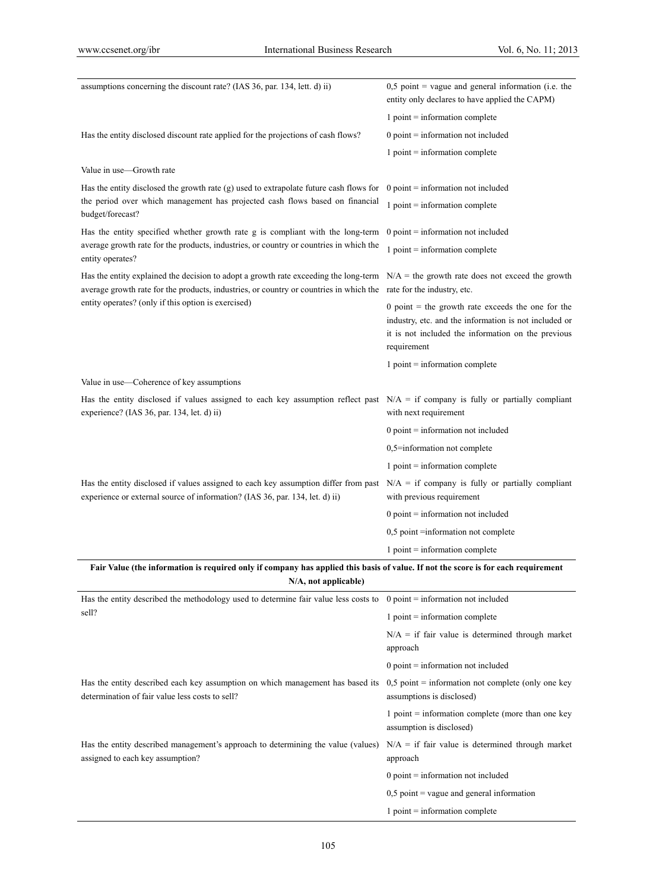| assumptions concerning the discount rate? (IAS 36, par. 134, lett. d) ii)                                                                                                                                              | $0,5$ point = vague and general information (i.e. the<br>entity only declares to have applied the CAPM)                                                                           |
|------------------------------------------------------------------------------------------------------------------------------------------------------------------------------------------------------------------------|-----------------------------------------------------------------------------------------------------------------------------------------------------------------------------------|
|                                                                                                                                                                                                                        | $1$ point = information complete                                                                                                                                                  |
| Has the entity disclosed discount rate applied for the projections of cash flows?                                                                                                                                      | $0$ point = information not included                                                                                                                                              |
|                                                                                                                                                                                                                        | $1$ point = information complete                                                                                                                                                  |
| Value in use—Growth rate                                                                                                                                                                                               |                                                                                                                                                                                   |
| Has the entity disclosed the growth rate (g) used to extrapolate future cash flows for                                                                                                                                 | $0$ point = information not included                                                                                                                                              |
| the period over which management has projected cash flows based on financial<br>budget/forecast?                                                                                                                       | $1$ point = information complete                                                                                                                                                  |
| Has the entity specified whether growth rate g is compliant with the long-term                                                                                                                                         | $0$ point = information not included                                                                                                                                              |
| average growth rate for the products, industries, or country or countries in which the<br>entity operates?                                                                                                             | $1$ point = information complete                                                                                                                                                  |
| Has the entity explained the decision to adopt a growth rate exceeding the long-term<br>average growth rate for the products, industries, or country or countries in which the                                         | $N/A$ = the growth rate does not exceed the growth<br>rate for the industry, etc.                                                                                                 |
| entity operates? (only if this option is exercised)                                                                                                                                                                    | $0$ point = the growth rate exceeds the one for the<br>industry, etc. and the information is not included or<br>it is not included the information on the previous<br>requirement |
|                                                                                                                                                                                                                        | $1$ point = information complete                                                                                                                                                  |
| Value in use—Coherence of key assumptions                                                                                                                                                                              |                                                                                                                                                                                   |
| Has the entity disclosed if values assigned to each key assumption reflect past $N/A =$ if company is fully or partially compliant<br>experience? (IAS 36, par. 134, let. d) ii)                                       | with next requirement                                                                                                                                                             |
|                                                                                                                                                                                                                        | $0$ point = information not included                                                                                                                                              |
|                                                                                                                                                                                                                        | 0,5=information not complete                                                                                                                                                      |
|                                                                                                                                                                                                                        | $1$ point = information complete                                                                                                                                                  |
| Has the entity disclosed if values assigned to each key assumption differ from past $N/A =$ if company is fully or partially compliant<br>experience or external source of information? (IAS 36, par. 134, let. d) ii) | with previous requirement                                                                                                                                                         |
|                                                                                                                                                                                                                        | $0$ point = information not included                                                                                                                                              |
|                                                                                                                                                                                                                        | 0,5 point = information not complete                                                                                                                                              |
|                                                                                                                                                                                                                        | $1$ point = information complete                                                                                                                                                  |
| Fair Value (the information is required only if company has applied this basis of value. If not the score is for each requirement<br>$N/A$ , not applicable)                                                           |                                                                                                                                                                                   |
| Has the entity described the methodology used to determine fair value less costs to                                                                                                                                    | $0$ point = information not included                                                                                                                                              |
| sell?                                                                                                                                                                                                                  | $1$ point = information complete                                                                                                                                                  |
|                                                                                                                                                                                                                        | $N/A$ = if fair value is determined through market<br>approach                                                                                                                    |
|                                                                                                                                                                                                                        | $0$ point = information not included                                                                                                                                              |
| Has the entity described each key assumption on which management has based its<br>determination of fair value less costs to sell?                                                                                      | $0,5$ point = information not complete (only one key<br>assumptions is disclosed)                                                                                                 |
|                                                                                                                                                                                                                        | $1$ point = information complete (more than one key<br>assumption is disclosed)                                                                                                   |
| Has the entity described management's approach to determining the value (values)<br>assigned to each key assumption?                                                                                                   | $N/A =$ if fair value is determined through market<br>approach                                                                                                                    |
|                                                                                                                                                                                                                        | $0$ point = information not included                                                                                                                                              |
|                                                                                                                                                                                                                        | $0,5$ point = vague and general information                                                                                                                                       |
|                                                                                                                                                                                                                        | $1$ point = information complete                                                                                                                                                  |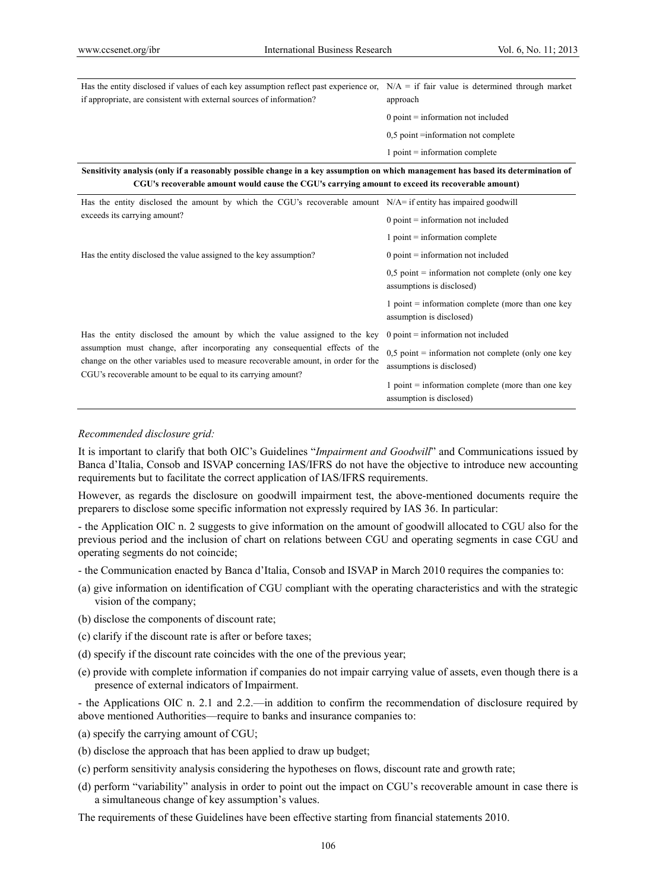| Has the entity disclosed if values of each key assumption reflect past experience or,<br>if appropriate, are consistent with external sources of information?                                                                         | $N/A =$ if fair value is determined through market<br>approach                    |  |
|---------------------------------------------------------------------------------------------------------------------------------------------------------------------------------------------------------------------------------------|-----------------------------------------------------------------------------------|--|
|                                                                                                                                                                                                                                       | $0$ point = information not included                                              |  |
|                                                                                                                                                                                                                                       | $0.5$ point = information not complete                                            |  |
|                                                                                                                                                                                                                                       | $1$ point = information complete                                                  |  |
| Sensitivity analysis (only if a reasonably possible change in a key assumption on which management has based its determination of<br>CGU's recoverable amount would cause the CGU's carrying amount to exceed its recoverable amount) |                                                                                   |  |
| Has the entity disclosed the amount by which the CGU's recoverable amount $N/A =$ if entity has impaired goodwill                                                                                                                     |                                                                                   |  |
| exceeds its carrying amount?                                                                                                                                                                                                          | $0$ point = information not included                                              |  |
|                                                                                                                                                                                                                                       | $1$ point = information complete                                                  |  |
| Has the entity disclosed the value assigned to the key assumption?                                                                                                                                                                    | $0$ point = information not included                                              |  |
|                                                                                                                                                                                                                                       | $0.5$ point = information not complete (only one key<br>assumptions is disclosed) |  |
|                                                                                                                                                                                                                                       | $1$ point = information complete (more than one key<br>assumption is disclosed)   |  |
| Has the entity disclosed the amount by which the value assigned to the key                                                                                                                                                            | $0$ point = information not included                                              |  |
| assumption must change, after incorporating any consequential effects of the<br>change on the other variables used to measure recoverable amount, in order for the<br>CGU's recoverable amount to be equal to its carrying amount?    | $0,5$ point = information not complete (only one key<br>assumptions is disclosed) |  |
|                                                                                                                                                                                                                                       | $1$ point = information complete (more than one key<br>assumption is disclosed)   |  |

#### *Recommended disclosure grid:*

It is important to clarify that both OIC's Guidelines "*Impairment and Goodwill*" and Communications issued by Banca d'Italia, Consob and ISVAP concerning IAS/IFRS do not have the objective to introduce new accounting requirements but to facilitate the correct application of IAS/IFRS requirements.

However, as regards the disclosure on goodwill impairment test, the above-mentioned documents require the preparers to disclose some specific information not expressly required by IAS 36. In particular:

- the Application OIC n. 2 suggests to give information on the amount of goodwill allocated to CGU also for the previous period and the inclusion of chart on relations between CGU and operating segments in case CGU and operating segments do not coincide;

- the Communication enacted by Banca d'Italia, Consob and ISVAP in March 2010 requires the companies to:
- (a) give information on identification of CGU compliant with the operating characteristics and with the strategic vision of the company;
- (b) disclose the components of discount rate;
- (c) clarify if the discount rate is after or before taxes;
- (d) specify if the discount rate coincides with the one of the previous year;
- (e) provide with complete information if companies do not impair carrying value of assets, even though there is a presence of external indicators of Impairment.

- the Applications OIC n. 2.1 and 2.2.—in addition to confirm the recommendation of disclosure required by above mentioned Authorities—require to banks and insurance companies to:

- (a) specify the carrying amount of CGU;
- (b) disclose the approach that has been applied to draw up budget;
- (c) perform sensitivity analysis considering the hypotheses on flows, discount rate and growth rate;
- (d) perform "variability" analysis in order to point out the impact on CGU's recoverable amount in case there is a simultaneous change of key assumption's values.

The requirements of these Guidelines have been effective starting from financial statements 2010.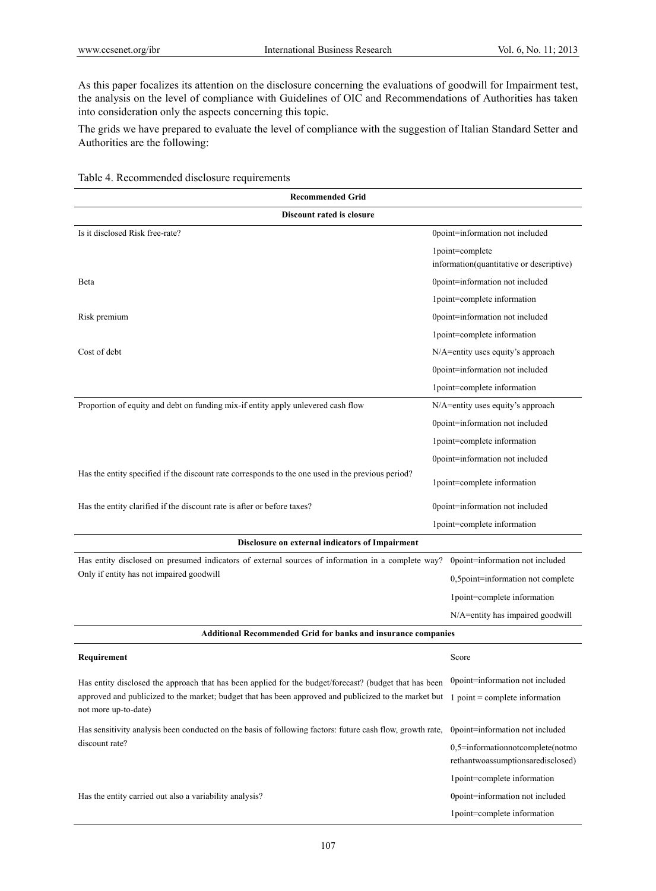As this paper focalizes its attention on the disclosure concerning the evaluations of goodwill for Impairment test, the analysis on the level of compliance with Guidelines of OIC and Recommendations of Authorities has taken into consideration only the aspects concerning this topic.

The grids we have prepared to evaluate the level of compliance with the suggestion of Italian Standard Setter and Authorities are the following:

Table 4. Recommended disclosure requirements

| <b>Recommended Grid</b>                                                                                                       |                                                                       |  |  |  |  |  |
|-------------------------------------------------------------------------------------------------------------------------------|-----------------------------------------------------------------------|--|--|--|--|--|
| Discount rated is closure                                                                                                     |                                                                       |  |  |  |  |  |
| Is it disclosed Risk free-rate?                                                                                               | 0point=information not included                                       |  |  |  |  |  |
|                                                                                                                               | 1point=complete<br>information(quantitative or descriptive)           |  |  |  |  |  |
| Beta                                                                                                                          | 0point=information not included                                       |  |  |  |  |  |
|                                                                                                                               | 1point=complete information                                           |  |  |  |  |  |
| Risk premium                                                                                                                  | 0point=information not included                                       |  |  |  |  |  |
|                                                                                                                               | 1point=complete information                                           |  |  |  |  |  |
| Cost of debt                                                                                                                  | N/A=entity uses equity's approach                                     |  |  |  |  |  |
|                                                                                                                               | 0point=information not included                                       |  |  |  |  |  |
|                                                                                                                               | 1point=complete information                                           |  |  |  |  |  |
| Proportion of equity and debt on funding mix-if entity apply unlevered cash flow                                              | N/A=entity uses equity's approach                                     |  |  |  |  |  |
|                                                                                                                               | 0point=information not included                                       |  |  |  |  |  |
|                                                                                                                               | 1point=complete information                                           |  |  |  |  |  |
|                                                                                                                               | 0point=information not included                                       |  |  |  |  |  |
| Has the entity specified if the discount rate corresponds to the one used in the previous period?                             | 1point=complete information                                           |  |  |  |  |  |
| Has the entity clarified if the discount rate is after or before taxes?                                                       | 0point=information not included                                       |  |  |  |  |  |
| 1point=complete information                                                                                                   |                                                                       |  |  |  |  |  |
| Disclosure on external indicators of Impairment                                                                               |                                                                       |  |  |  |  |  |
| Has entity disclosed on presumed indicators of external sources of information in a complete way?                             | 0point=information not included                                       |  |  |  |  |  |
| Only if entity has not impaired goodwill                                                                                      | 0,5point=information not complete                                     |  |  |  |  |  |
|                                                                                                                               | 1point=complete information                                           |  |  |  |  |  |
|                                                                                                                               | N/A=entity has impaired goodwill                                      |  |  |  |  |  |
| Additional Recommended Grid for banks and insurance companies                                                                 |                                                                       |  |  |  |  |  |
| Requirement                                                                                                                   | Score                                                                 |  |  |  |  |  |
| Has entity disclosed the approach that has been applied for the budget/forecast? (budget that has been                        | 0point=information not included                                       |  |  |  |  |  |
| approved and publicized to the market; budget that has been approved and publicized to the market but<br>not more up-to-date) | $1$ point = complete information                                      |  |  |  |  |  |
| Has sensitivity analysis been conducted on the basis of following factors: future cash flow, growth rate,                     | 0point=information not included                                       |  |  |  |  |  |
| discount rate?                                                                                                                | 0,5=informationnotcomplete(notmo<br>rethantwoassumptionsaredisclosed) |  |  |  |  |  |
|                                                                                                                               | 1point=complete information                                           |  |  |  |  |  |
| Has the entity carried out also a variability analysis?                                                                       | 0point=information not included                                       |  |  |  |  |  |
|                                                                                                                               | 1point=complete information                                           |  |  |  |  |  |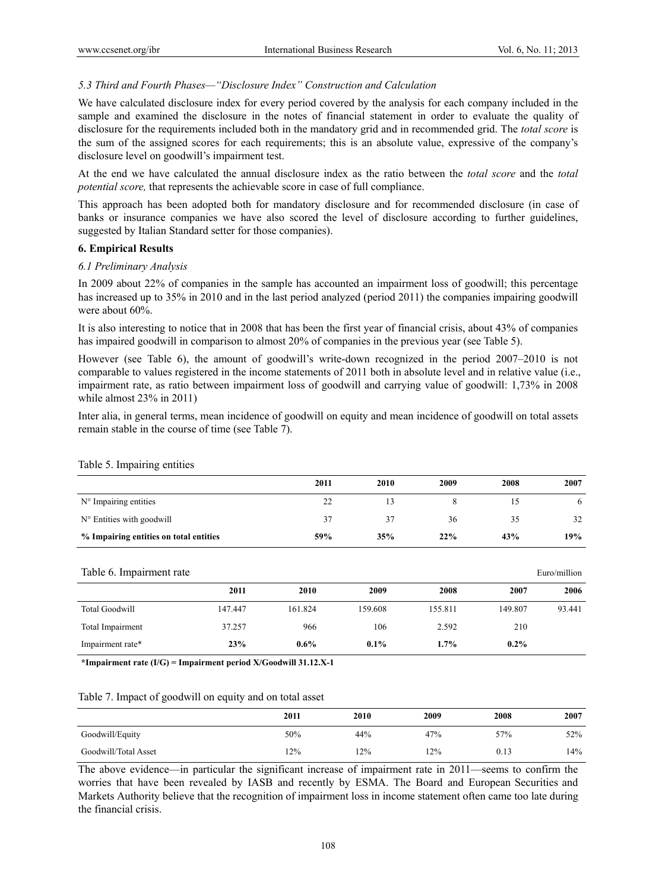## *5.3 Third and Fourth Phases—"Disclosure Index" Construction and Calculation*

We have calculated disclosure index for every period covered by the analysis for each company included in the sample and examined the disclosure in the notes of financial statement in order to evaluate the quality of disclosure for the requirements included both in the mandatory grid and in recommended grid. The *total score* is the sum of the assigned scores for each requirements; this is an absolute value, expressive of the company's disclosure level on goodwill's impairment test.

At the end we have calculated the annual disclosure index as the ratio between the *total score* and the *total potential score,* that represents the achievable score in case of full compliance.

This approach has been adopted both for mandatory disclosure and for recommended disclosure (in case of banks or insurance companies we have also scored the level of disclosure according to further guidelines, suggested by Italian Standard setter for those companies).

## **6. Empirical Results**

#### *6.1 Preliminary Analysis*

In 2009 about 22% of companies in the sample has accounted an impairment loss of goodwill; this percentage has increased up to 35% in 2010 and in the last period analyzed (period 2011) the companies impairing goodwill were about 60%.

It is also interesting to notice that in 2008 that has been the first year of financial crisis, about 43% of companies has impaired goodwill in comparison to almost 20% of companies in the previous year (see Table 5).

However (see Table 6), the amount of goodwill's write-down recognized in the period 2007–2010 is not comparable to values registered in the income statements of 2011 both in absolute level and in relative value (i.e., impairment rate, as ratio between impairment loss of goodwill and carrying value of goodwill: 1,73% in 2008 while almost 23% in 2011)

Inter alia, in general terms, mean incidence of goodwill on equity and mean incidence of goodwill on total assets remain stable in the course of time (see Table 7).

|                                        | 2011 | 2010 | 2009 | 2008 | 2007 |
|----------------------------------------|------|------|------|------|------|
| $No$ Impairing entities                | 22   | 13   |      |      | 6    |
| $No$ Entities with goodwill            | 37   | 37   | 36   | 35   | 32   |
| % Impairing entities on total entities | 59%  | 35%  | 22%  | 43%  | 19%  |

#### Table 5. Impairing entities

| Table 6. Impairment rate |         |         |         |         |         | Euro/million |
|--------------------------|---------|---------|---------|---------|---------|--------------|
|                          | 2011    | 2010    | 2009    | 2008    | 2007    | 2006         |
| <b>Total Goodwill</b>    | 147.447 | 161.824 | 159.608 | 155.811 | 149.807 | 93.441       |
| Total Impairment         | 37.257  | 966     | 106     | 2.592   | 210     |              |
| Impairment rate*         | 23%     | $0.6\%$ | $0.1\%$ | $1.7\%$ | $0.2\%$ |              |

**\*Impairment rate (I/G) = Impairment period X/Goodwill 31.12.X-1** 

#### Table 7. Impact of goodwill on equity and on total asset

|                      | 2011 | 2010 | 2009 | 2008 | 2007 |
|----------------------|------|------|------|------|------|
| Goodwill/Equity      | 50%  | 44%  | 47%  | 57%  | 52%  |
| Goodwill/Total Asset | 2%   | 12%  | 12%  | 0.13 | 14%  |

The above evidence—in particular the significant increase of impairment rate in 2011—seems to confirm the worries that have been revealed by IASB and recently by ESMA. The Board and European Securities and Markets Authority believe that the recognition of impairment loss in income statement often came too late during the financial crisis.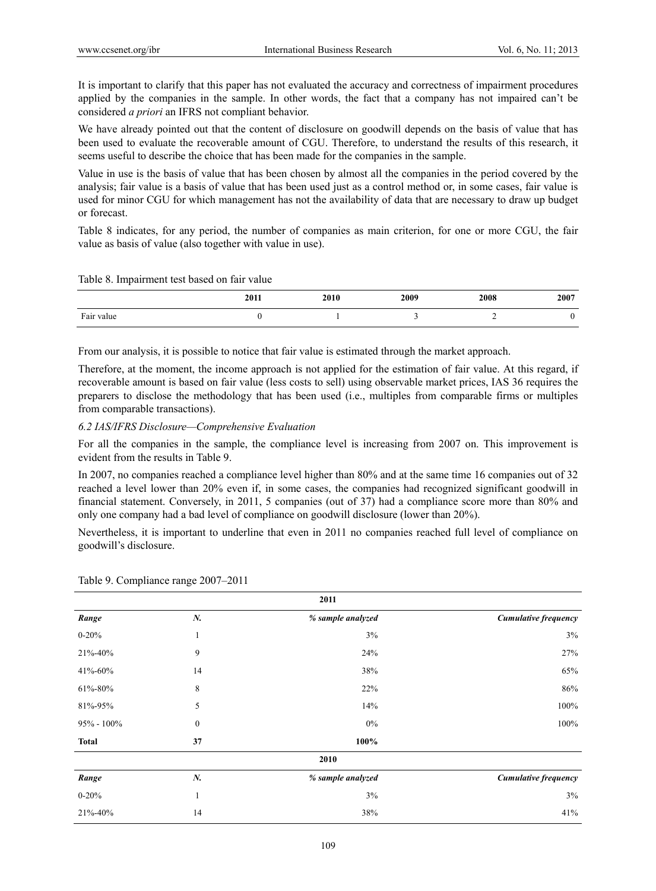It is important to clarify that this paper has not evaluated the accuracy and correctness of impairment procedures applied by the companies in the sample. In other words, the fact that a company has not impaired can't be considered *a priori* an IFRS not compliant behavior.

We have already pointed out that the content of disclosure on goodwill depends on the basis of value that has been used to evaluate the recoverable amount of CGU. Therefore, to understand the results of this research, it seems useful to describe the choice that has been made for the companies in the sample.

Value in use is the basis of value that has been chosen by almost all the companies in the period covered by the analysis; fair value is a basis of value that has been used just as a control method or, in some cases, fair value is used for minor CGU for which management has not the availability of data that are necessary to draw up budget or forecast.

Table 8 indicates, for any period, the number of companies as main criterion, for one or more CGU, the fair value as basis of value (also together with value in use).

#### Table 8. Impairment test based on fair value

|            | 2011 | 2010 | 2009 | 2008 | 2007 |
|------------|------|------|------|------|------|
| Fair value |      |      |      |      |      |

From our analysis, it is possible to notice that fair value is estimated through the market approach.

Therefore, at the moment, the income approach is not applied for the estimation of fair value. At this regard, if recoverable amount is based on fair value (less costs to sell) using observable market prices, IAS 36 requires the preparers to disclose the methodology that has been used (i.e., multiples from comparable firms or multiples from comparable transactions).

## *6.2 IAS/IFRS Disclosure—Comprehensive Evaluation*

For all the companies in the sample, the compliance level is increasing from 2007 on. This improvement is evident from the results in Table 9.

In 2007, no companies reached a compliance level higher than 80% and at the same time 16 companies out of 32 reached a level lower than 20% even if, in some cases, the companies had recognized significant goodwill in financial statement. Conversely, in 2011, 5 companies (out of 37) had a compliance score more than 80% and only one company had a bad level of compliance on goodwill disclosure (lower than 20%).

Nevertheless, it is important to underline that even in 2011 no companies reached full level of compliance on goodwill's disclosure.

| 2011           |                  |                   |                             |  |  |  |  |
|----------------|------------------|-------------------|-----------------------------|--|--|--|--|
| Range          | N.               | % sample analyzed | <b>Cumulative frequency</b> |  |  |  |  |
| $0 - 20%$      | 1                | 3%                | 3%                          |  |  |  |  |
| 21%-40%        | 9                | 24%               | 27%                         |  |  |  |  |
| 41%-60%        | 14               | 38%               | 65%                         |  |  |  |  |
| $61\% - 80\%$  | 8                | 22%               | 86%                         |  |  |  |  |
| 81%-95%        | 5                | 14%               | 100%                        |  |  |  |  |
| $95\% - 100\%$ | $\boldsymbol{0}$ | $0\%$             | 100%                        |  |  |  |  |
| <b>Total</b>   | 37               | 100%              |                             |  |  |  |  |
|                |                  | 2010              |                             |  |  |  |  |
| Range          | N.               | % sample analyzed | <b>Cumulative frequency</b> |  |  |  |  |
| $0 - 20%$      | ı                | 3%                | 3%                          |  |  |  |  |
| 21%-40%        | 14               | 38%               | 41%                         |  |  |  |  |

Table 9. Compliance range 2007–2011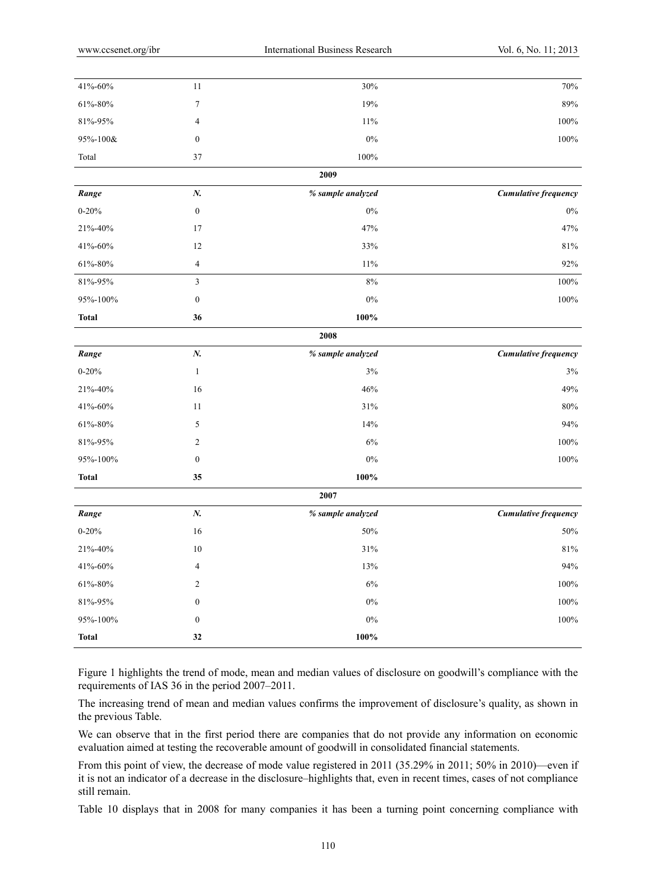| $41\% - 60\%$ |                         |                   |                      |
|---------------|-------------------------|-------------------|----------------------|
| 21%-40%       | 10                      | 31%               | 81%                  |
| $0-20\%$      | 16                      | 50%               | $50\%$               |
| Range         | $\boldsymbol{N\!}.$     | % sample analyzed | Cumulative frequency |
|               |                         | 2007              |                      |
| <b>Total</b>  | 35                      | 100%              |                      |
| 95%-100%      | $\boldsymbol{0}$        | $0\%$             | $100\%$              |
| 81%-95%       | $\overline{c}$          | 6%                | 100%                 |
| 61%-80%       | 5                       | 14%               | 94%                  |
| $41\% - 60\%$ | 11                      | 31%               | $80\%$               |
| 21%-40%       | 16                      | 46%               | 49%                  |
| $0 - 20%$     | $\mathbf{1}$            | 3%                | 3%                   |
| Range         | $\boldsymbol{N\!}.$     | % sample analyzed | Cumulative frequency |
|               |                         | 2008              |                      |
| Total         | 36                      | 100%              |                      |
| 95%-100%      | $\boldsymbol{0}$        | $0\%$             | $100\%$              |
| 81%-95%       | $\overline{\mathbf{3}}$ | $8\%$             | $100\%$              |
| 61%-80%       | $\sqrt{4}$              | 11%               | $92\%$               |
| 41%-60%       | 12                      | 33%               | 81%                  |
| 21%-40%       | 17                      | 47%               | 47%                  |
| $0-20\%$      | $\boldsymbol{0}$        | $0\%$             | $0\%$                |
| Range         | $\boldsymbol{N}$        | % sample analyzed | Cumulative frequency |
|               |                         | 2009              |                      |
| Total         | 37                      | 100%              |                      |
| 95%-100&      | $\boldsymbol{0}$        | $0\%$             | 100%                 |
| $81\% - 95\%$ | $\overline{4}$          | $11\%$            | $100\%$              |
| $61\% - 80\%$ | $\boldsymbol{7}$        | 19%               | $89\%$               |
| 41%-60%       | 11                      | 30%               | $70\%$               |

Figure 1 highlights the trend of mode, mean and median values of disclosure on goodwill's compliance with the requirements of IAS 36 in the period 2007–2011.

The increasing trend of mean and median values confirms the improvement of disclosure's quality, as shown in the previous Table.

We can observe that in the first period there are companies that do not provide any information on economic evaluation aimed at testing the recoverable amount of goodwill in consolidated financial statements.

From this point of view, the decrease of mode value registered in 2011 (35.29% in 2011; 50% in 2010)—even if it is not an indicator of a decrease in the disclosure–highlights that, even in recent times, cases of not compliance still remain.

Table 10 displays that in 2008 for many companies it has been a turning point concerning compliance with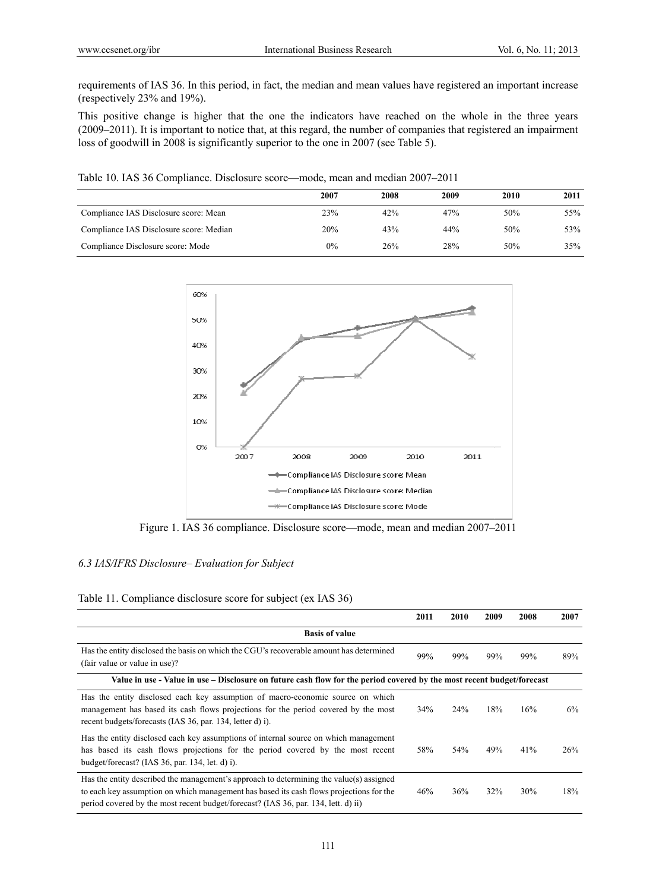requirements of IAS 36. In this period, in fact, the median and mean values have registered an important increase (respectively 23% and 19%).

This positive change is higher that the one the indicators have reached on the whole in the three years (2009–2011). It is important to notice that, at this regard, the number of companies that registered an impairment loss of goodwill in 2008 is significantly superior to the one in 2007 (see Table 5).

Table 10. IAS 36 Compliance. Disclosure score—mode, mean and median 2007-2011

|                                         | 2007  | 2008 | 2009 | 2010 | 2011 |
|-----------------------------------------|-------|------|------|------|------|
| Compliance IAS Disclosure score: Mean   | 23%   | 42%  | 47%  | 50%  | 55%  |
| Compliance IAS Disclosure score: Median | 20%   | 43%  | 44%  | 50%  | 53%  |
| Compliance Disclosure score: Mode       | $0\%$ | 26%  | 28%  | 50%  | 35%  |



Figure 1. IAS 36 compliance. Disclosure score—mode, mean and median 2007-2011

## *6.3 IAS/IF FRS Disclosure e– Evaluation f for Subject*

|  | Table 11. Compliance disclosure score for subject (ex IAS 36) |  |
|--|---------------------------------------------------------------|--|
|  |                                                               |  |

|                                                                                                                                                                                                                                                                          | 2011 | 2010 | 2009 | 2008 | 2007 |
|--------------------------------------------------------------------------------------------------------------------------------------------------------------------------------------------------------------------------------------------------------------------------|------|------|------|------|------|
| <b>Basis of value</b>                                                                                                                                                                                                                                                    |      |      |      |      |      |
| Has the entity disclosed the basis on which the CGU's recoverable amount has determined<br>(fair value or value in use)?                                                                                                                                                 | 99%  | 99%  | 99%  | 99%  | 89%  |
| Value in use - Value in use – Disclosure on future cash flow for the period covered by the most recent budget/forecast                                                                                                                                                   |      |      |      |      |      |
| Has the entity disclosed each key assumption of macro-economic source on which<br>management has based its cash flows projections for the period covered by the most<br>recent budgets/forecasts (IAS 36, par. 134, letter d) i).                                        | 34%  | 24%  | 18%  | 16%  | 6%   |
| Has the entity disclosed each key assumptions of internal source on which management<br>has based its cash flows projections for the period covered by the most recent<br>budget/forecast? (IAS 36, par. 134, let. d) i).                                                | 58%  | 54%  | 49%  | 41%  | 26%  |
| Has the entity described the management's approach to determining the value(s) assigned<br>to each key assumption on which management has based its cash flows projections for the<br>period covered by the most recent budget/forecast? (IAS 36, par. 134, lett. d) ii) | 46%  | 36%  | 32%  | 30%  | 18%  |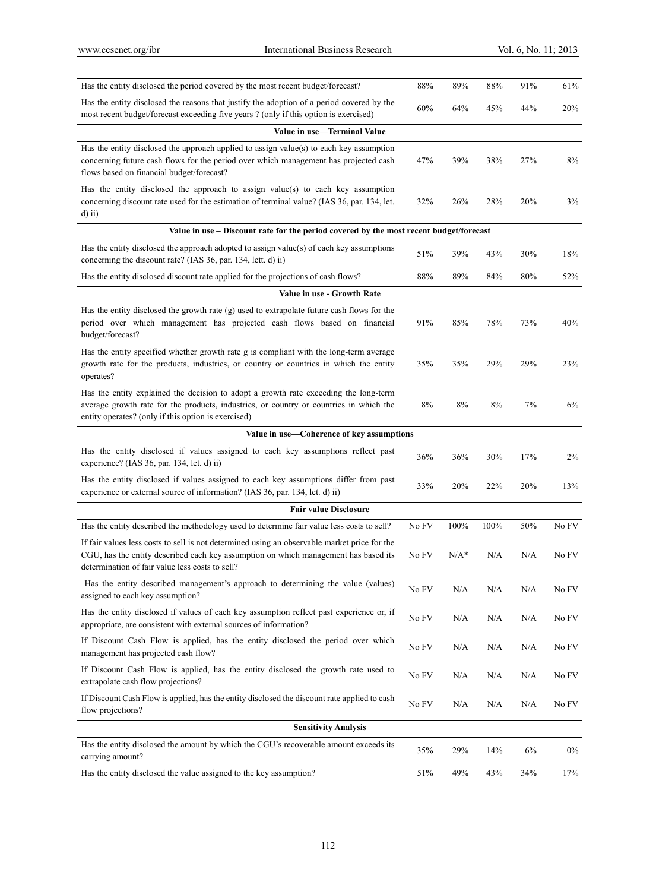| Has the entity disclosed the period covered by the most recent budget/forecast?                                                                                                                                                        | 88%   | 89%     | 88%   | 91% | 61%   |
|----------------------------------------------------------------------------------------------------------------------------------------------------------------------------------------------------------------------------------------|-------|---------|-------|-----|-------|
| Has the entity disclosed the reasons that justify the adoption of a period covered by the<br>most recent budget/forecast exceeding five years ? (only if this option is exercised)                                                     | 60%   | 64%     | 45%   | 44% | 20%   |
| Value in use-Terminal Value                                                                                                                                                                                                            |       |         |       |     |       |
| Has the entity disclosed the approach applied to assign value(s) to each key assumption<br>concerning future cash flows for the period over which management has projected cash<br>flows based on financial budget/forecast?           | 47%   | 39%     | 38%   | 27% | $8\%$ |
| Has the entity disclosed the approach to assign value(s) to each key assumption<br>concerning discount rate used for the estimation of terminal value? (IAS 36, par. 134, let.<br>$d$ ) ii)                                            | 32%   | 26%     | 28%   | 20% | 3%    |
| Value in use - Discount rate for the period covered by the most recent budget/forecast                                                                                                                                                 |       |         |       |     |       |
| Has the entity disclosed the approach adopted to assign value(s) of each key assumptions<br>concerning the discount rate? (IAS 36, par. 134, lett. d) ii)                                                                              | 51%   | 39%     | 43%   | 30% | 18%   |
| Has the entity disclosed discount rate applied for the projections of cash flows?                                                                                                                                                      | 88%   | 89%     | 84%   | 80% | 52%   |
| Value in use - Growth Rate                                                                                                                                                                                                             |       |         |       |     |       |
| Has the entity disclosed the growth rate (g) used to extrapolate future cash flows for the<br>period over which management has projected cash flows based on financial<br>budget/forecast?                                             | 91%   | 85%     | 78%   | 73% | 40%   |
| Has the entity specified whether growth rate g is compliant with the long-term average<br>growth rate for the products, industries, or country or countries in which the entity<br>operates?                                           | 35%   | 35%     | 29%   | 29% | 23%   |
| Has the entity explained the decision to adopt a growth rate exceeding the long-term<br>average growth rate for the products, industries, or country or countries in which the<br>entity operates? (only if this option is exercised)  | $8\%$ | $8\%$   | $8\%$ | 7%  | 6%    |
| Value in use-Coherence of key assumptions                                                                                                                                                                                              |       |         |       |     |       |
| Has the entity disclosed if values assigned to each key assumptions reflect past<br>experience? (IAS 36, par. 134, let. d) ii)                                                                                                         | 36%   | 36%     | 30%   | 17% | $2\%$ |
| Has the entity disclosed if values assigned to each key assumptions differ from past<br>experience or external source of information? (IAS 36, par. 134, let. d) ii)                                                                   | 33%   | 20%     | 22%   | 20% | 13%   |
| <b>Fair value Disclosure</b>                                                                                                                                                                                                           |       |         |       |     |       |
| Has the entity described the methodology used to determine fair value less costs to sell?                                                                                                                                              | No FV | 100%    | 100%  | 50% | No FV |
| If fair values less costs to sell is not determined using an observable market price for the<br>CGU, has the entity described each key assumption on which management has based its<br>determination of fair value less costs to sell? | No FV | $N/A^*$ | N/A   | N/A | No FV |
| Has the entity described management's approach to determining the value (values)<br>assigned to each key assumption?                                                                                                                   | No FV | N/A     | N/A   | N/A | No FV |
| Has the entity disclosed if values of each key assumption reflect past experience or, if<br>appropriate, are consistent with external sources of information?                                                                          | No FV | N/A     | N/A   | N/A | No FV |
| If Discount Cash Flow is applied, has the entity disclosed the period over which<br>management has projected cash flow?                                                                                                                | No FV | N/A     | N/A   | N/A | No FV |
| If Discount Cash Flow is applied, has the entity disclosed the growth rate used to<br>extrapolate cash flow projections?                                                                                                               | No FV | N/A     | N/A   | N/A | No FV |
| If Discount Cash Flow is applied, has the entity disclosed the discount rate applied to cash<br>flow projections?                                                                                                                      | No FV | N/A     | N/A   | N/A | No FV |
| <b>Sensitivity Analysis</b>                                                                                                                                                                                                            |       |         |       |     |       |
| Has the entity disclosed the amount by which the CGU's recoverable amount exceeds its<br>carrying amount?                                                                                                                              | 35%   | 29%     | 14%   | 6%  | $0\%$ |
| Has the entity disclosed the value assigned to the key assumption?                                                                                                                                                                     | 51%   | 49%     | 43%   | 34% | 17%   |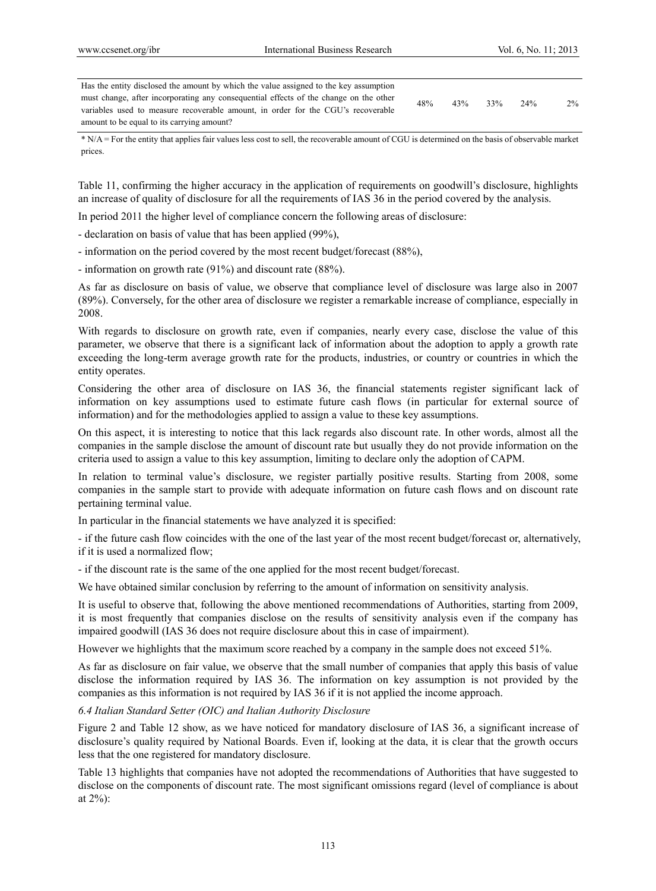| Has the entity disclosed the amount by which the value assigned to the key assumption                                                                                     |     |     |     |     |       |
|---------------------------------------------------------------------------------------------------------------------------------------------------------------------------|-----|-----|-----|-----|-------|
| must change, after incorporating any consequential effects of the change on the other<br>variables used to measure recoverable amount, in order for the CGU's recoverable | 48% | 43% | 33% | 24% | $2\%$ |
| amount to be equal to its carrying amount?                                                                                                                                |     |     |     |     |       |

\* N/A = For the entity that applies fair values less cost to sell, the recoverable amount of CGU is determined on the basis of observable market prices.

Table 11, confirming the higher accuracy in the application of requirements on goodwill's disclosure, highlights an increase of quality of disclosure for all the requirements of IAS 36 in the period covered by the analysis.

In period 2011 the higher level of compliance concern the following areas of disclosure:

- declaration on basis of value that has been applied (99%),

- information on the period covered by the most recent budget/forecast (88%),
- information on growth rate (91%) and discount rate (88%).

As far as disclosure on basis of value, we observe that compliance level of disclosure was large also in 2007 (89%). Conversely, for the other area of disclosure we register a remarkable increase of compliance, especially in 2008.

With regards to disclosure on growth rate, even if companies, nearly every case, disclose the value of this parameter, we observe that there is a significant lack of information about the adoption to apply a growth rate exceeding the long-term average growth rate for the products, industries, or country or countries in which the entity operates.

Considering the other area of disclosure on IAS 36, the financial statements register significant lack of information on key assumptions used to estimate future cash flows (in particular for external source of information) and for the methodologies applied to assign a value to these key assumptions.

On this aspect, it is interesting to notice that this lack regards also discount rate. In other words, almost all the companies in the sample disclose the amount of discount rate but usually they do not provide information on the criteria used to assign a value to this key assumption, limiting to declare only the adoption of CAPM.

In relation to terminal value's disclosure, we register partially positive results. Starting from 2008, some companies in the sample start to provide with adequate information on future cash flows and on discount rate pertaining terminal value.

In particular in the financial statements we have analyzed it is specified:

- if the future cash flow coincides with the one of the last year of the most recent budget/forecast or, alternatively, if it is used a normalized flow;

- if the discount rate is the same of the one applied for the most recent budget/forecast.

We have obtained similar conclusion by referring to the amount of information on sensitivity analysis.

It is useful to observe that, following the above mentioned recommendations of Authorities, starting from 2009, it is most frequently that companies disclose on the results of sensitivity analysis even if the company has impaired goodwill (IAS 36 does not require disclosure about this in case of impairment).

However we highlights that the maximum score reached by a company in the sample does not exceed 51%.

As far as disclosure on fair value, we observe that the small number of companies that apply this basis of value disclose the information required by IAS 36. The information on key assumption is not provided by the companies as this information is not required by IAS 36 if it is not applied the income approach.

*6.4 Italian Standard Setter (OIC) and Italian Authority Disclosure* 

Figure 2 and Table 12 show, as we have noticed for mandatory disclosure of IAS 36, a significant increase of disclosure's quality required by National Boards. Even if, looking at the data, it is clear that the growth occurs less that the one registered for mandatory disclosure.

Table 13 highlights that companies have not adopted the recommendations of Authorities that have suggested to disclose on the components of discount rate. The most significant omissions regard (level of compliance is about at 2%):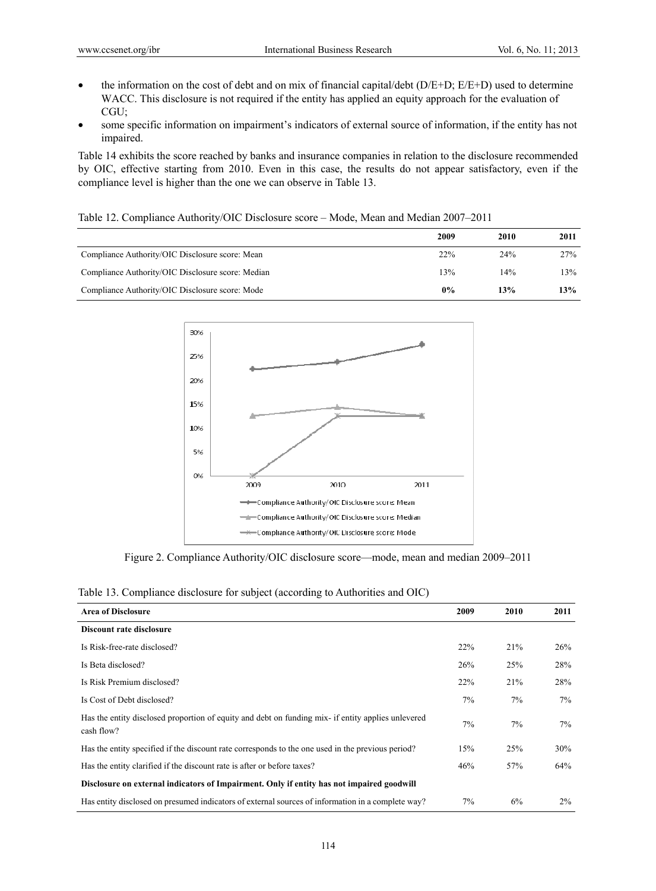- the information on the cost of debt and on mix of financial capital/debt ( $D/E+D$ ;  $E/E+D$ ) used to determine WACC. This disclosure is not required if the entity has applied an equity approach for the evaluation of CGU; WACC. This disclosure is not required if the entity has applied an equity approach for the evaluation of CGU;<br>
• some specific information on impairment's indicators of external source of information, if the entity has not
- impa ired.

Table 14 exhibits the score reached by banks and insurance companies in relation to the disclosure recommended by OIC, effective starting from 2010. Even in this case, the results do not appear satisfactory, even if the compliance level is higher than the one we can observe in Table 13.

#### Table 12. Compliance Authority/OIC Disclosure score – Mode, Mean and Median 2007–2011

|                                                   | 2009  | 2010 | 2011 |
|---------------------------------------------------|-------|------|------|
| Compliance Authority/OIC Disclosure score: Mean   | 22%   | 24%  | 27%  |
| Compliance Authority/OIC Disclosure score: Median | 13%   | 14%  | 13%  |
| Compliance Authority/OIC Disclosure score: Mode   | $0\%$ | 13%  | 13%  |



Figure 2. Compliance Authority/OIC disclosure score—mode, mean and median 2009–2011

Table 13. Compliance disclosure for subject (according to Authorities and OIC)

| <b>Area of Disclosure</b>                                                                                        | 2009 | 2010 | 2011  |  |  |  |
|------------------------------------------------------------------------------------------------------------------|------|------|-------|--|--|--|
| Discount rate disclosure                                                                                         |      |      |       |  |  |  |
| Is Risk-free-rate disclosed?                                                                                     | 22%  | 21%  | 26%   |  |  |  |
| Is Beta disclosed?                                                                                               | 26%  | 25%  | 28%   |  |  |  |
| Is Risk Premium disclosed?                                                                                       | 22%  | 21%  | 28%   |  |  |  |
| Is Cost of Debt disclosed?                                                                                       | 7%   | 7%   | $7\%$ |  |  |  |
| Has the entity disclosed proportion of equity and debt on funding mix- if entity applies unlevered<br>cash flow? | 7%   | 7%   | $7\%$ |  |  |  |
| Has the entity specified if the discount rate corresponds to the one used in the previous period?                | 15%  | 25%  | 30%   |  |  |  |
| Has the entity clarified if the discount rate is after or before taxes?                                          | 46%  | 57%  | 64%   |  |  |  |
| Disclosure on external indicators of Impairment. Only if entity has not impaired goodwill                        |      |      |       |  |  |  |
| Has entity disclosed on presumed indicators of external sources of information in a complete way?                | 7%   | 6%   | $2\%$ |  |  |  |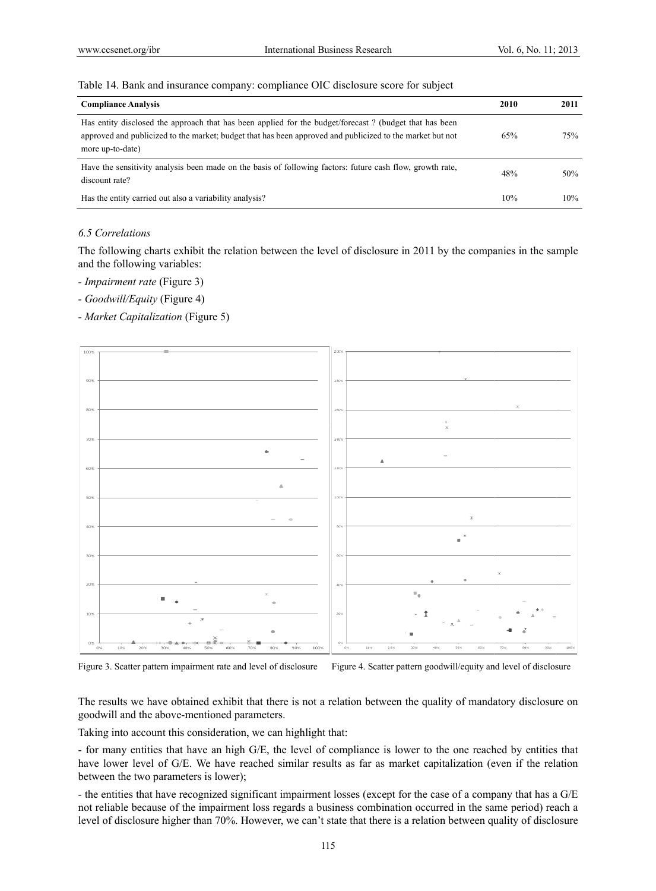#### Table 14. Bank and insurance company: compliance OIC disclosure score for subject

| <b>Compliance Analysis</b>                                                                                                                                                                                                              | 2010 | 2011 |
|-----------------------------------------------------------------------------------------------------------------------------------------------------------------------------------------------------------------------------------------|------|------|
| Has entity disclosed the approach that has been applied for the budget/forecast? (budget that has been<br>approved and publicized to the market; budget that has been approved and publicized to the market but not<br>more up-to-date) | 65%  | 75%  |
| Have the sensitivity analysis been made on the basis of following factors: future cash flow, growth rate,<br>discount rate?                                                                                                             | 48%  | 50%  |
| Has the entity carried out also a variability analysis?                                                                                                                                                                                 | 10%  | 10%  |

#### *6.5 Correl lations*

The following charts exhibit the relation between the level of disclosure in 2011 by the companies in the sample and the following variables:

- *Impairment rate* (Figure 3)
- Goodwill/Equity (Figure 4)
- *Market C Capitalization*  (Figure 5)



Figure 3. Sc atter pattern imp pairment rate and level of disclosu ure Figure 4. Scatter pattern goodwill/equity and level of disclosure

The results we have obtained exhibit that there is not a relation between the quality of mandatory disclosure on goodwill and the above-mentioned parameters.

Taking into account this consideration, we can highlight that:

- for many entities that have an high G/E, the level of compliance is lower to the one reached by entities that have lower level of G/E. We have reached similar results as far as market capitalization (even if the relation between the two parameters is lower);

- the entities that have recognized significant impairment losses (except for the case of a company that has a G/E not reliable because of the impairment loss regards a business combination occurred in the same period) reach a level of disclosure higher than 70%. However, we can't state that there is a relation between quality of disclosure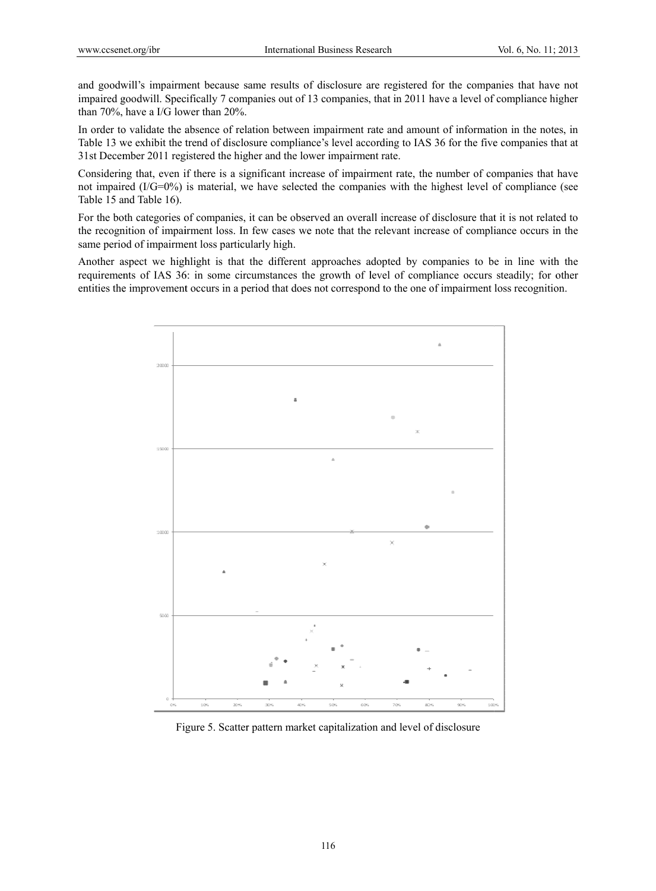and goodwill's impairment because same results of disclosure are registered for the companies that have not impaired goodwill. Specifically 7 companies out of 13 companies, that in 2011 have a level of compliance higher than  $70\%$ , have a I/G lower than  $20\%$ .

In order to validate the absence of relation between impairment rate and amount of information in the notes, in Table 13 we exhibit the trend of disclosure compliance's level according to IAS 36 for the five companies that at 31st December 2011 registered the higher and the lower impairment rate.

Considering that, even if there is a significant increase of impairment rate, the number of companies that have not impaired (I/G=0%) is material, we have selected the companies with the highest level of compliance (see Table 15 and Table 16).

For the both categories of companies, it can be observed an overall increase of disclosure that it is not related to the recognition of impairment loss. In few cases we note that the relevant increase of compliance occurs in the same period of impairment loss particularly high.

Another aspect we highlight is that the different approaches adopted by companies to be in line with the requirements of IAS 36: in some circumstances the growth of level of compliance occurs steadily; for other entities the improvement occurs in a period that does not correspond to the one of impairment loss recognition.



Figure 5. Scatter pattern market capitalization and level of disclosure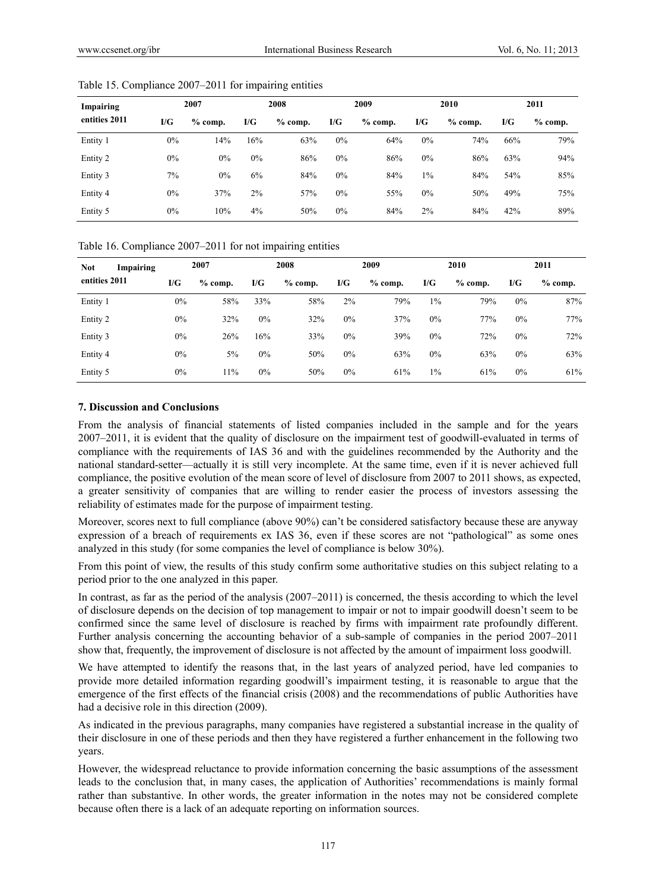| Impairing     |                         | 2007      |       | 2008      |       | 2009      |       | 2010      |     | 2011      |  |
|---------------|-------------------------|-----------|-------|-----------|-------|-----------|-------|-----------|-----|-----------|--|
| entities 2011 | $\mathbf{I}/\mathbf{G}$ | $%$ comp. | I/G   | $%$ comp. | I/G   | $%$ comp. | I/G   | $%$ comp. | I/G | $%$ comp. |  |
| Entity 1      | 0%                      | 14%       | 16%   | 63%       | $0\%$ | 64%       | $0\%$ | 74%       | 66% | 79%       |  |
| Entity 2      | $0\%$                   | $0\%$     | $0\%$ | 86%       | $0\%$ | 86%       | $0\%$ | 86%       | 63% | 94%       |  |
| Entity 3      | 7%                      | $0\%$     | 6%    | 84%       | $0\%$ | 84%       | $1\%$ | 84%       | 54% | 85%       |  |
| Entity 4      | $0\%$                   | 37%       | 2%    | 57%       | $0\%$ | 55%       | $0\%$ | 50%       | 49% | 75%       |  |
| Entity 5      | $0\%$                   | 10%       | 4%    | 50%       | $0\%$ | 84%       | 2%    | 84%       | 42% | 89%       |  |

#### Table 15. Compliance 2007–2011 for impairing entities

Table 16. Compliance 2007–2011 for not impairing entities

| Impairing<br>Not<br>entities 2011 | 2007  |           | 2008  |           | 2009 |           | 2010                    |           | 2011  |           |
|-----------------------------------|-------|-----------|-------|-----------|------|-----------|-------------------------|-----------|-------|-----------|
|                                   | I/G   | $%$ comp. | I/G   | $%$ comp. | I/G  | $%$ comp. | $\mathbf{I}/\mathbf{G}$ | $%$ comp. | I/G   | $%$ comp. |
| Entity 1                          | $0\%$ | 58%       | 33%   | 58%       | 2%   | 79%       | $1\%$                   | 79%       | $0\%$ | 87%       |
| Entity 2                          | $0\%$ | 32%       | $0\%$ | 32%       | 0%   | 37%       | $0\%$                   | 77%       | $0\%$ | 77%       |
| Entity 3                          | $0\%$ | 26%       | 16%   | 33%       | 0%   | 39%       | $0\%$                   | 72%       | $0\%$ | 72%       |
| Entity 4                          | $0\%$ | $5\%$     | $0\%$ | 50%       | 0%   | 63%       | $0\%$                   | 63%       | $0\%$ | 63%       |
| Entity 5                          | $0\%$ | 11%       | $0\%$ | 50%       | 0%   | 61%       | $1\%$                   | 61%       | $0\%$ | 61%       |

## **7. Discussion and Conclusions**

From the analysis of financial statements of listed companies included in the sample and for the years 2007–2011, it is evident that the quality of disclosure on the impairment test of goodwill-evaluated in terms of compliance with the requirements of IAS 36 and with the guidelines recommended by the Authority and the national standard-setter—actually it is still very incomplete. At the same time, even if it is never achieved full compliance, the positive evolution of the mean score of level of disclosure from 2007 to 2011 shows, as expected, a greater sensitivity of companies that are willing to render easier the process of investors assessing the reliability of estimates made for the purpose of impairment testing.

Moreover, scores next to full compliance (above 90%) can't be considered satisfactory because these are anyway expression of a breach of requirements ex IAS 36, even if these scores are not "pathological" as some ones analyzed in this study (for some companies the level of compliance is below 30%).

From this point of view, the results of this study confirm some authoritative studies on this subject relating to a period prior to the one analyzed in this paper.

In contrast, as far as the period of the analysis (2007–2011) is concerned, the thesis according to which the level of disclosure depends on the decision of top management to impair or not to impair goodwill doesn't seem to be confirmed since the same level of disclosure is reached by firms with impairment rate profoundly different. Further analysis concerning the accounting behavior of a sub-sample of companies in the period 2007–2011 show that, frequently, the improvement of disclosure is not affected by the amount of impairment loss goodwill.

We have attempted to identify the reasons that, in the last years of analyzed period, have led companies to provide more detailed information regarding goodwill's impairment testing, it is reasonable to argue that the emergence of the first effects of the financial crisis (2008) and the recommendations of public Authorities have had a decisive role in this direction (2009).

As indicated in the previous paragraphs, many companies have registered a substantial increase in the quality of their disclosure in one of these periods and then they have registered a further enhancement in the following two years.

However, the widespread reluctance to provide information concerning the basic assumptions of the assessment leads to the conclusion that, in many cases, the application of Authorities' recommendations is mainly formal rather than substantive. In other words, the greater information in the notes may not be considered complete because often there is a lack of an adequate reporting on information sources.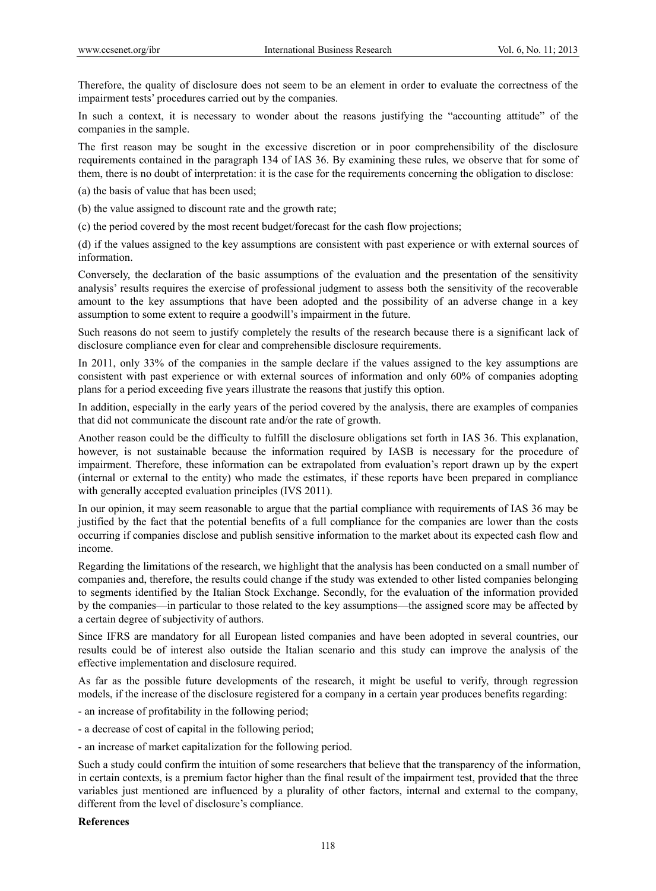Therefore, the quality of disclosure does not seem to be an element in order to evaluate the correctness of the impairment tests' procedures carried out by the companies.

In such a context, it is necessary to wonder about the reasons justifying the "accounting attitude" of the companies in the sample.

The first reason may be sought in the excessive discretion or in poor comprehensibility of the disclosure requirements contained in the paragraph 134 of IAS 36. By examining these rules, we observe that for some of them, there is no doubt of interpretation: it is the case for the requirements concerning the obligation to disclose:

(a) the basis of value that has been used;

(b) the value assigned to discount rate and the growth rate;

(c) the period covered by the most recent budget/forecast for the cash flow projections;

(d) if the values assigned to the key assumptions are consistent with past experience or with external sources of information.

Conversely, the declaration of the basic assumptions of the evaluation and the presentation of the sensitivity analysis' results requires the exercise of professional judgment to assess both the sensitivity of the recoverable amount to the key assumptions that have been adopted and the possibility of an adverse change in a key assumption to some extent to require a goodwill's impairment in the future.

Such reasons do not seem to justify completely the results of the research because there is a significant lack of disclosure compliance even for clear and comprehensible disclosure requirements.

In 2011, only 33% of the companies in the sample declare if the values assigned to the key assumptions are consistent with past experience or with external sources of information and only 60% of companies adopting plans for a period exceeding five years illustrate the reasons that justify this option.

In addition, especially in the early years of the period covered by the analysis, there are examples of companies that did not communicate the discount rate and/or the rate of growth.

Another reason could be the difficulty to fulfill the disclosure obligations set forth in IAS 36. This explanation, however, is not sustainable because the information required by IASB is necessary for the procedure of impairment. Therefore, these information can be extrapolated from evaluation's report drawn up by the expert (internal or external to the entity) who made the estimates, if these reports have been prepared in compliance with generally accepted evaluation principles (IVS 2011).

In our opinion, it may seem reasonable to argue that the partial compliance with requirements of IAS 36 may be justified by the fact that the potential benefits of a full compliance for the companies are lower than the costs occurring if companies disclose and publish sensitive information to the market about its expected cash flow and income.

Regarding the limitations of the research, we highlight that the analysis has been conducted on a small number of companies and, therefore, the results could change if the study was extended to other listed companies belonging to segments identified by the Italian Stock Exchange. Secondly, for the evaluation of the information provided by the companies—in particular to those related to the key assumptions—the assigned score may be affected by a certain degree of subjectivity of authors.

Since IFRS are mandatory for all European listed companies and have been adopted in several countries, our results could be of interest also outside the Italian scenario and this study can improve the analysis of the effective implementation and disclosure required.

As far as the possible future developments of the research, it might be useful to verify, through regression models, if the increase of the disclosure registered for a company in a certain year produces benefits regarding:

- an increase of profitability in the following period;

- a decrease of cost of capital in the following period;

- an increase of market capitalization for the following period.

Such a study could confirm the intuition of some researchers that believe that the transparency of the information, in certain contexts, is a premium factor higher than the final result of the impairment test, provided that the three variables just mentioned are influenced by a plurality of other factors, internal and external to the company, different from the level of disclosure's compliance.

#### **References**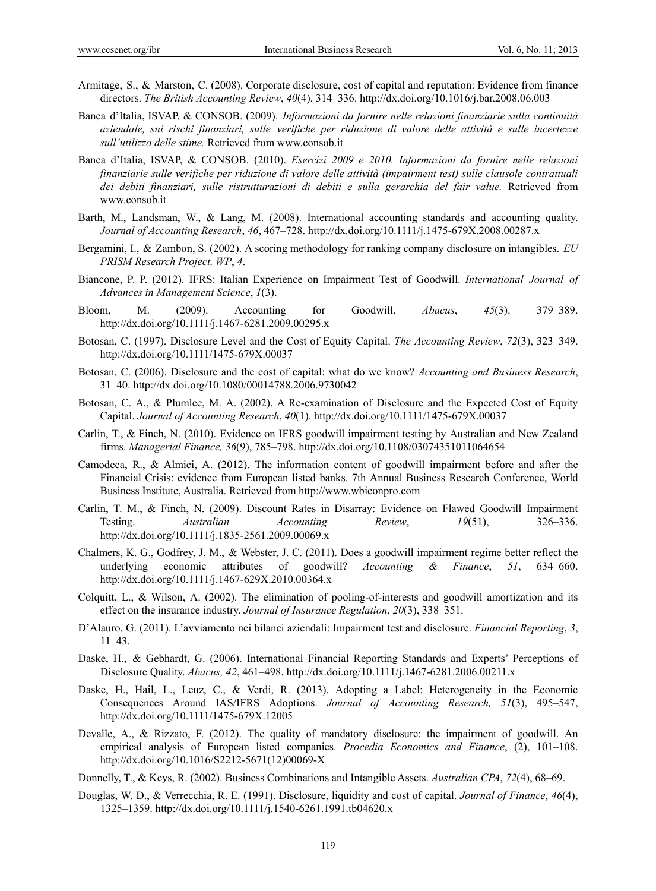- Armitage, S., & Marston, C. (2008). Corporate disclosure, cost of capital and reputation: Evidence from finance directors. *The British Accounting Review*, *40*(4). 314–336. http://dx.doi.org/10.1016/j.bar.2008.06.003
- Banca d'Italia, ISVAP, & CONSOB. (2009). *Informazioni da fornire nelle relazioni finanziarie sulla continuità aziendale, sui rischi finanziari, sulle verifiche per riduzione di valore delle attività e sulle incertezze sull'utilizzo delle stime.* Retrieved from www.consob.it
- Banca d'Italia, ISVAP, & CONSOB. (2010). *Esercizi 2009 e 2010. Informazioni da fornire nelle relazioni finanziarie sulle verifiche per riduzione di valore delle attività (impairment test) sulle clausole contrattuali dei debiti finanziari, sulle ristrutturazioni di debiti e sulla gerarchia del fair value.* Retrieved from www.consob.it
- Barth, M., Landsman, W., & Lang, M. (2008). International accounting standards and accounting quality. *Journal of Accounting Research*, *46*, 467–728. http://dx.doi.org/10.1111/j.1475-679X.2008.00287.x
- Bergamini, I., & Zambon, S. (2002). A scoring methodology for ranking company disclosure on intangibles. *EU PRISM Research Project, WP*, *4*.
- Biancone, P. P. (2012). IFRS: Italian Experience on Impairment Test of Goodwill. *International Journal of Advances in Management Science*, *1*(3).
- Bloom, M. (2009). Accounting for Goodwill. *Abacus*, *45*(3). 379–389. http://dx.doi.org/10.1111/j.1467-6281.2009.00295.x
- Botosan, C. (1997). Disclosure Level and the Cost of Equity Capital. *The Accounting Review*, *72*(3), 323–349. http://dx.doi.org/10.1111/1475-679X.00037
- Botosan, C. (2006). Disclosure and the cost of capital: what do we know? *Accounting and Business Research*, 31–40. http://dx.doi.org/10.1080/00014788.2006.9730042
- Botosan, C. A., & Plumlee, M. A. (2002). A Re-examination of Disclosure and the Expected Cost of Equity Capital. *Journal of Accounting Research*, *40*(1). http://dx.doi.org/10.1111/1475-679X.00037
- Carlin, T., & Finch, N. (2010). Evidence on IFRS goodwill impairment testing by Australian and New Zealand firms. *Managerial Finance, 36*(9), 785–798. http://dx.doi.org/10.1108/03074351011064654
- Camodeca, R., & Almici, A. (2012). The information content of goodwill impairment before and after the Financial Crisis: evidence from European listed banks. 7th Annual Business Research Conference, World Business Institute, Australia. Retrieved from http://www.wbiconpro.com
- Carlin, T. M., & Finch, N. (2009). Discount Rates in Disarray: Evidence on Flawed Goodwill Impairment Testing. *Australian Accounting Review*, *19*(51), 326–336. http://dx.doi.org/10.1111/j.1835-2561.2009.00069.x
- Chalmers, K. G., Godfrey, J. M., & Webster, J. C. (2011). Does a goodwill impairment regime better reflect the underlying economic attributes of goodwill? *Accounting & Finance*, *51*, 634–660. http://dx.doi.org/10.1111/j.1467-629X.2010.00364.x
- Colquitt, L., & Wilson, A. (2002). The elimination of pooling-of-interests and goodwill amortization and its effect on the insurance industry. *Journal of Insurance Regulation*, *20*(3), 338–351.
- D'Alauro, G. (2011). L'avviamento nei bilanci aziendali: Impairment test and disclosure. *Financial Reporting*, *3*, 11–43.
- Daske, H., & Gebhardt, G. (2006). International Financial Reporting Standards and Experts' Perceptions of Disclosure Quality. *Abacus, 42*, 461–498. http://dx.doi.org/10.1111/j.1467-6281.2006.00211.x
- Daske, H., Hail, L., Leuz, C., & Verdi, R. (2013). Adopting a Label: Heterogeneity in the Economic Consequences Around IAS/IFRS Adoptions. *Journal of Accounting Research, 51*(3), 495–547, http://dx.doi.org/10.1111/1475-679X.12005
- Devalle, A., & Rizzato, F. (2012). The quality of mandatory disclosure: the impairment of goodwill. An empirical analysis of European listed companies. *Procedia Economics and Finance*, (2), 101–108. http://dx.doi.org/10.1016/S2212-5671(12)00069-X

Donnelly, T., & Keys, R. (2002). Business Combinations and Intangible Assets. *Australian CPA*, *72*(4), 68–69.

Douglas, W. D., & Verrecchia, R. E. (1991). Disclosure, liquidity and cost of capital. *Journal of Finance*, *46*(4), 1325–1359. http://dx.doi.org/10.1111/j.1540-6261.1991.tb04620.x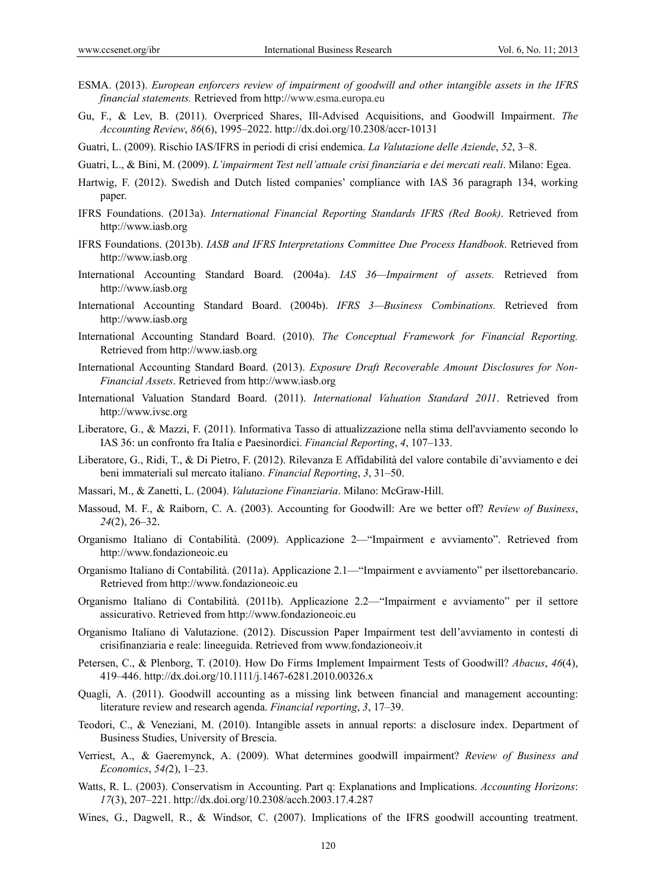- ESMA. (2013). *European enforcers review of impairment of goodwill and other intangible assets in the IFRS financial statements.* Retrieved from http://www.esma.europa.eu
- Gu, F., & Lev, B. (2011). Overpriced Shares, Ill-Advised Acquisitions, and Goodwill Impairment. *The Accounting Review*, *86*(6), 1995–2022. http://dx.doi.org/10.2308/accr-10131
- Guatri, L. (2009). Rischio IAS/IFRS in periodi di crisi endemica. *La Valutazione delle Aziende*, *52*, 3–8.
- Guatri, L., & Bini, M. (2009). *L'impairment Test nell'attuale crisi finanziaria e dei mercati reali*. Milano: Egea.
- Hartwig, F. (2012). Swedish and Dutch listed companies' compliance with IAS 36 paragraph 134, working paper.
- IFRS Foundations. (2013a). *International Financial Reporting Standards IFRS (Red Book)*. Retrieved from http://www.iasb.org
- IFRS Foundations. (2013b). *IASB and IFRS Interpretations Committee Due Process Handbook*. Retrieved from http://www.iasb.org
- International Accounting Standard Board. (2004a). *IAS 36—Impairment of assets.* Retrieved from http://www.iasb.org
- International Accounting Standard Board. (2004b). *IFRS 3—Business Combinations.* Retrieved from http://www.iasb.org
- International Accounting Standard Board. (2010). *The Conceptual Framework for Financial Reporting.* Retrieved from http://www.iasb.org
- International Accounting Standard Board. (2013). *Exposure Draft Recoverable Amount Disclosures for Non-Financial Assets*. Retrieved from http://www.iasb.org
- International Valuation Standard Board. (2011). *International Valuation Standard 2011*. Retrieved from http://www.ivsc.org
- Liberatore, G., & Mazzi, F. (2011). Informativa Tasso di attualizzazione nella stima dell'avviamento secondo lo IAS 36: un confronto fra Italia e Paesinordici. *Financial Reporting*, *4*, 107–133.
- Liberatore, G., Ridi, T., & Di Pietro, F. (2012). Rilevanza E Affidabilità del valore contabile di'avviamento e dei beni immateriali sul mercato italiano. *Financial Reporting*, *3*, 31–50.
- Massari, M., & Zanetti, L. (2004). *Valutazione Finanziaria*. Milano: McGraw-Hill.
- Massoud, M. F., & Raiborn, C. A. (2003). Accounting for Goodwill: Are we better off? *Review of Business*, *24*(2), 26–32.
- Organismo Italiano di Contabilità. (2009). Applicazione 2—"Impairment e avviamento". Retrieved from http://www.fondazioneoic.eu
- Organismo Italiano di Contabilità. (2011a). Applicazione 2.1—"Impairment e avviamento" per ilsettorebancario. Retrieved from http://www.fondazioneoic.eu
- Organismo Italiano di Contabilità. (2011b). Applicazione 2.2—"Impairment e avviamento" per il settore assicurativo. Retrieved from http://www.fondazioneoic.eu
- Organismo Italiano di Valutazione. (2012). Discussion Paper Impairment test dell'avviamento in contesti di crisifinanziaria e reale: lineeguida. Retrieved from www.fondazioneoiv.it
- Petersen, C., & Plenborg, T. (2010). How Do Firms Implement Impairment Tests of Goodwill? *Abacus*, *46*(4), 419–446. http://dx.doi.org/10.1111/j.1467-6281.2010.00326.x
- Quagli, A. (2011). Goodwill accounting as a missing link between financial and management accounting: literature review and research agenda. *Financial reporting*, *3*, 17–39.
- Teodori, C., & Veneziani, M. (2010). Intangible assets in annual reports: a disclosure index. Department of Business Studies, University of Brescia.
- Verriest, A., & Gaeremynck, A. (2009). What determines goodwill impairment? *Review of Business and Economics*, *54(*2), 1–23.
- Watts, R. L. (2003). Conservatism in Accounting. Part q: Explanations and Implications. *Accounting Horizons*: *17*(3), 207–221. http://dx.doi.org/10.2308/acch.2003.17.4.287
- Wines, G., Dagwell, R., & Windsor, C. (2007). Implications of the IFRS goodwill accounting treatment.